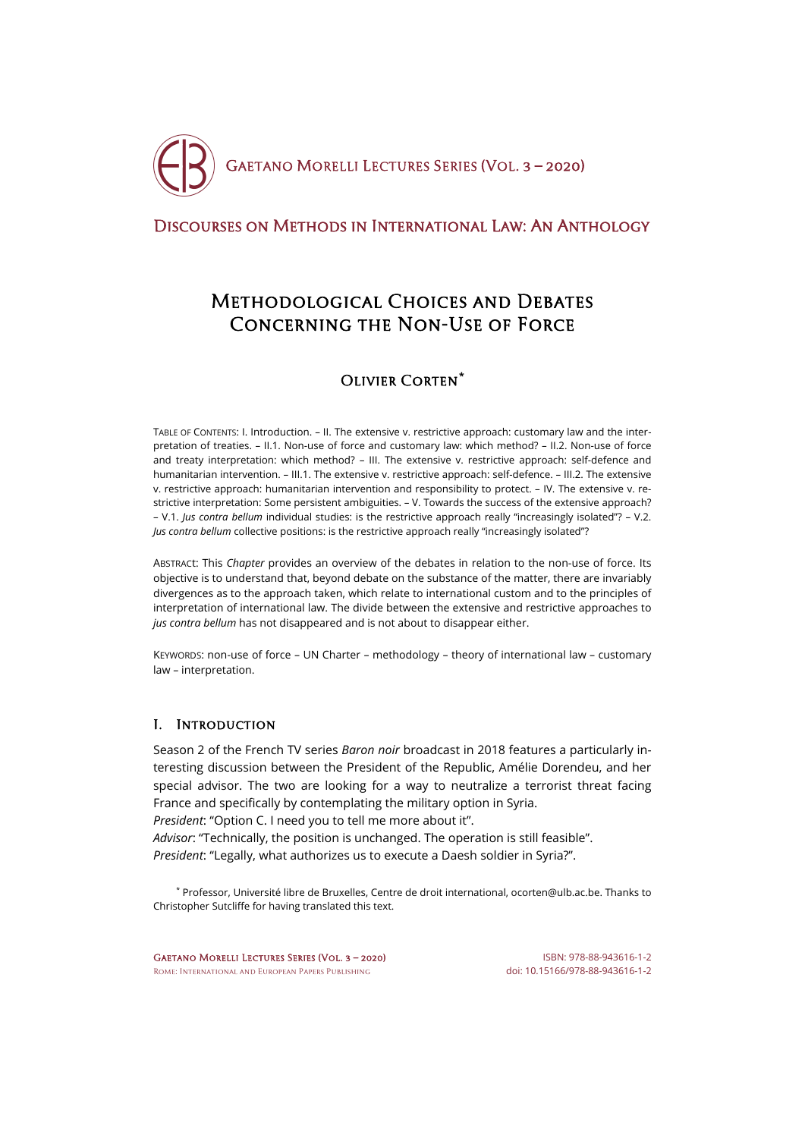

## [Discourses on Methods in International Law: An Anthology](http://crde.unitelmasapienza.it/en/publications/gmls-2020)

# Methodological Choices and Debates Concerning the Non-Use of Force

## Olivier Corten**[\\*](#page-0-0)**

TABLE OF CONTENTS: I. Introduction. – II. The extensive v. restrictive approach: customary law and the interpretation of treaties. – II.1. Non-use of force and customary law: which method? – II.2. Non-use of force and treaty interpretation: which method? – III. The extensive v. restrictive approach: self-defence and humanitarian intervention. – III.1. The extensive v. restrictive approach: self-defence. – III.2. The extensive v. restrictive approach: humanitarian intervention and responsibility to protect. – IV. The extensive v. restrictive interpretation: Some persistent ambiguities. – V. Towards the success of the extensive approach? – V.1. *Jus contra bellum* individual studies: is the restrictive approach really "increasingly isolated"? – V.2. *Jus contra bellum* collective positions: is the restrictive approach really "increasingly isolated"?

ABSTRACt: This *Chapter* provides an overview of the debates in relation to the non-use of force. Its objective is to understand that, beyond debate on the substance of the matter, there are invariably divergences as to the approach taken, which relate to international custom and to the principles of interpretation of international law. The divide between the extensive and restrictive approaches to *jus contra bellum* has not disappeared and is not about to disappear either.

KEYWORDS: non-use of force – UN Charter – methodology – theory of international law – customary law – interpretation.

## I. Introduction

Season 2 of the French TV series *Baron noir* broadcast in 2018 features a particularly interesting discussion between the President of the Republic, Amélie Dorendeu, and her special advisor. The two are looking for a way to neutralize a terrorist threat facing France and specifically by contemplating the military option in Syria.

*President*: "Option C. I need you to tell me more about it".

*Advisor*: "Technically, the position is unchanged. The operation is still feasible". *President*: "Legally, what authorizes us to execute a Daesh soldier in Syria?".

<span id="page-0-0"></span>\* Professor, Université libre de Bruxelles, Centre de droit international[, ocorten@ulb.ac.be.](mailto:ocorten@ulb.ac.be) Thanks to Christopher Sutcliffe for having translated this text.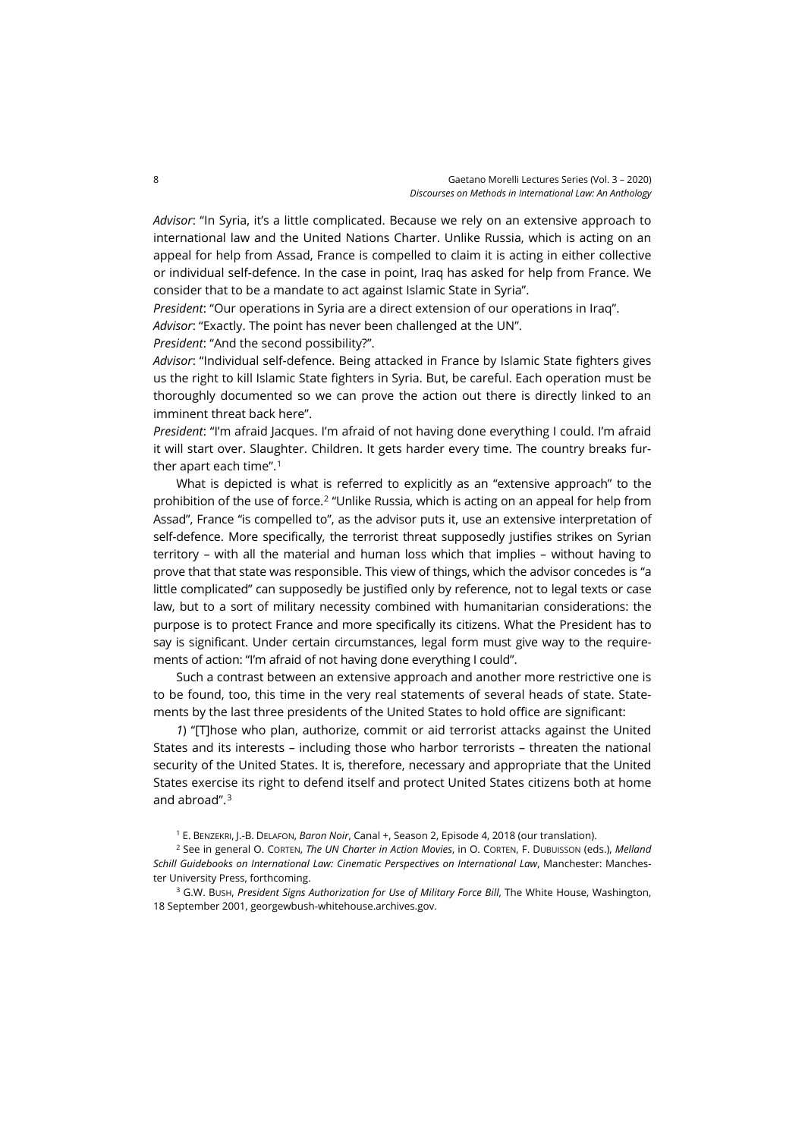*Advisor*: "In Syria, it's a little complicated. Because we rely on an extensive approach to international law and the United Nations Charter. Unlike Russia, which is acting on an appeal for help from Assad, France is compelled to claim it is acting in either collective or individual self-defence. In the case in point, Iraq has asked for help from France. We consider that to be a mandate to act against Islamic State in Syria".

*President*: "Our operations in Syria are a direct extension of our operations in Iraq".

*Advisor*: "Exactly. The point has never been challenged at the UN".

*President*: "And the second possibility?".

*Advisor*: "Individual self-defence. Being attacked in France by Islamic State fighters gives us the right to kill Islamic State fighters in Syria. But, be careful. Each operation must be thoroughly documented so we can prove the action out there is directly linked to an imminent threat back here".

*President*: "I'm afraid Jacques. I'm afraid of not having done everything I could. I'm afraid it will start over. Slaughter. Children. It gets harder every time. The country breaks further apart each time".[1](#page-1-0)

What is depicted is what is referred to explicitly as an "extensive approach" to the prohibition of the use of force.<sup>[2](#page-1-1)</sup> "Unlike Russia, which is acting on an appeal for help from Assad", France "is compelled to", as the advisor puts it, use an extensive interpretation of self-defence. More specifically, the terrorist threat supposedly justifies strikes on Syrian territory – with all the material and human loss which that implies – without having to prove that that state was responsible. This view of things, which the advisor concedes is "a little complicated" can supposedly be justified only by reference, not to legal texts or case law, but to a sort of military necessity combined with humanitarian considerations: the purpose is to protect France and more specifically its citizens. What the President has to say is significant. Under certain circumstances, legal form must give way to the requirements of action: "I'm afraid of not having done everything I could".

Such a contrast between an extensive approach and another more restrictive one is to be found, too, this time in the very real statements of several heads of state. Statements by the last three presidents of the United States to hold office are significant:

*1*) "[T]hose who plan, authorize, commit or aid terrorist attacks against the United States and its interests – including those who harbor terrorists – threaten the national security of the United States. It is, therefore, necessary and appropriate that the United States exercise its right to defend itself and protect United States citizens both at home and abroad". [3](#page-1-2)

<sup>1</sup> E. BENZEKRI, J.-B. DELAFON, *Baron Noir*, Canal +, Season 2, Episode 4, 2018 (our translation).

<span id="page-1-1"></span><span id="page-1-0"></span><sup>2</sup> See in general O. CORTEN, *The UN Charter in Action Movies*, in O. CORTEN, F. DUBUISSON (eds.), *Melland Schill Guidebooks on International Law: Cinematic Perspectives on International Law*, Manchester: Manchester University Press, forthcoming.

<span id="page-1-2"></span><sup>3</sup> G.W. Bush, President Signs Authorization for Use of Military Force Bill, The White House, Washington, 18 September 2001[, georgewbush-whitehouse.archives.gov.](https://georgewbush-whitehouse.archives.gov/news/releases/2001/09/20010918-10.html)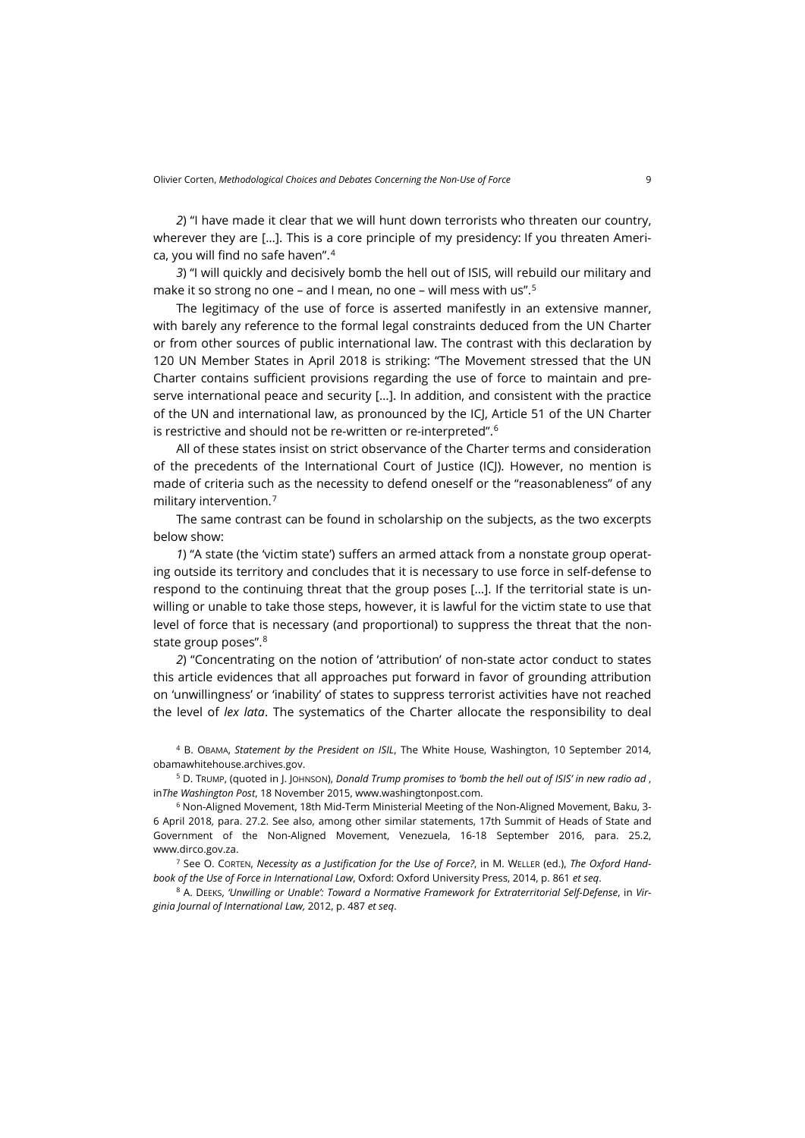*2*) "I have made it clear that we will hunt down terrorists who threaten our country, wherever they are […]. This is a core principle of my presidency: If you threaten America, you will find no safe haven". [4](#page-2-0)

*3*) "I will quickly and decisively bomb the hell out of ISIS, will rebuild our military and make it so strong no one – and I mean, no one – will mess with us".[5](#page-2-1)

The legitimacy of the use of force is asserted manifestly in an extensive manner, with barely any reference to the formal legal constraints deduced from the UN Charter or from other sources of public international law. The contrast with this declaration by 120 UN Member States in April 2018 is striking: "The Movement stressed that the UN Charter contains sufficient provisions regarding the use of force to maintain and preserve international peace and security […]. In addition, and consistent with the practice of the UN and international law, as pronounced by the ICJ, Article 51 of the UN Charter is restrictive and should not be re-written or re-interpreted". $^{\rm 6}$  $^{\rm 6}$  $^{\rm 6}$ 

All of these states insist on strict observance of the Charter terms and consideration of the precedents of the International Court of Justice (ICJ). However, no mention is made of criteria such as the necessity to defend oneself or the "reasonableness" of any military intervention.[7](#page-2-3)

The same contrast can be found in scholarship on the subjects, as the two excerpts below show:

*1*) "A state (the 'victim state') suffers an armed attack from a nonstate group operating outside its territory and concludes that it is necessary to use force in self-defense to respond to the continuing threat that the group poses […]. If the territorial state is unwilling or unable to take those steps, however, it is lawful for the victim state to use that level of force that is necessary (and proportional) to suppress the threat that the nonstate group poses".[8](#page-2-4)

*2*) "Concentrating on the notion of 'attribution' of non-state actor conduct to states this article evidences that all approaches put forward in favor of grounding attribution on 'unwillingness' or 'inability' of states to suppress terrorist activities have not reached the level of *lex lata*. The systematics of the Charter allocate the responsibility to deal

<span id="page-2-0"></span><sup>4</sup> B. OBAMA, *Statement by the President on ISIL*, The White House, Washington, 10 September 2014, [obamawhitehouse.archives.gov.](https://obamawhitehouse.archives.gov/the-press-office/2014/09/10/statement-president-isil-1)

<span id="page-2-1"></span><sup>5</sup> D. TRUMP, (quoted in J. JOHNSON), *Donald Trump promises to 'bomb the hell out of ISIS' in new radio ad* , in*The Washington Post*, 18 November 2015[, www.washingtonpost.com.](https://www.washingtonpost.com/news/post-politics/wp/2015/11/18/donald-trump-promises-to-bomb-the-hell-out-of-isis-in-new-radio-ad/?utm_term=.668dc0642cee)

<span id="page-2-2"></span><sup>6</sup> Non-Aligned Movement, 18th Mid-Term Ministerial Meeting of the Non-Aligned Movement, Baku, 3- 6 April 2018, para. 27.2. See also, among other similar statements, 17th Summit of Heads of State and Government of the Non-Aligned Movement, Venezuela, 16-18 September 2016, para. 25.2, [www.dirco.gov.za.](http://www.dirco.gov.za/docs/2016/nam0919.pdf)

<span id="page-2-3"></span><sup>7</sup> See O. CORTEN, *Necessity as a Justification for the Use of Force?*, in M. WELLER (ed.), *The Oxford Handbook of the Use of Force in International Law*, Oxford: Oxford University Press, 2014, p. 861 *et seq*.

<span id="page-2-4"></span><sup>8</sup> A. DEEKS, *'Unwilling or Unable': Toward a Normative Framework for Extraterritorial Self-Defense*, in *Virginia Journal of International Law,* 2012, p. 487 *et seq*.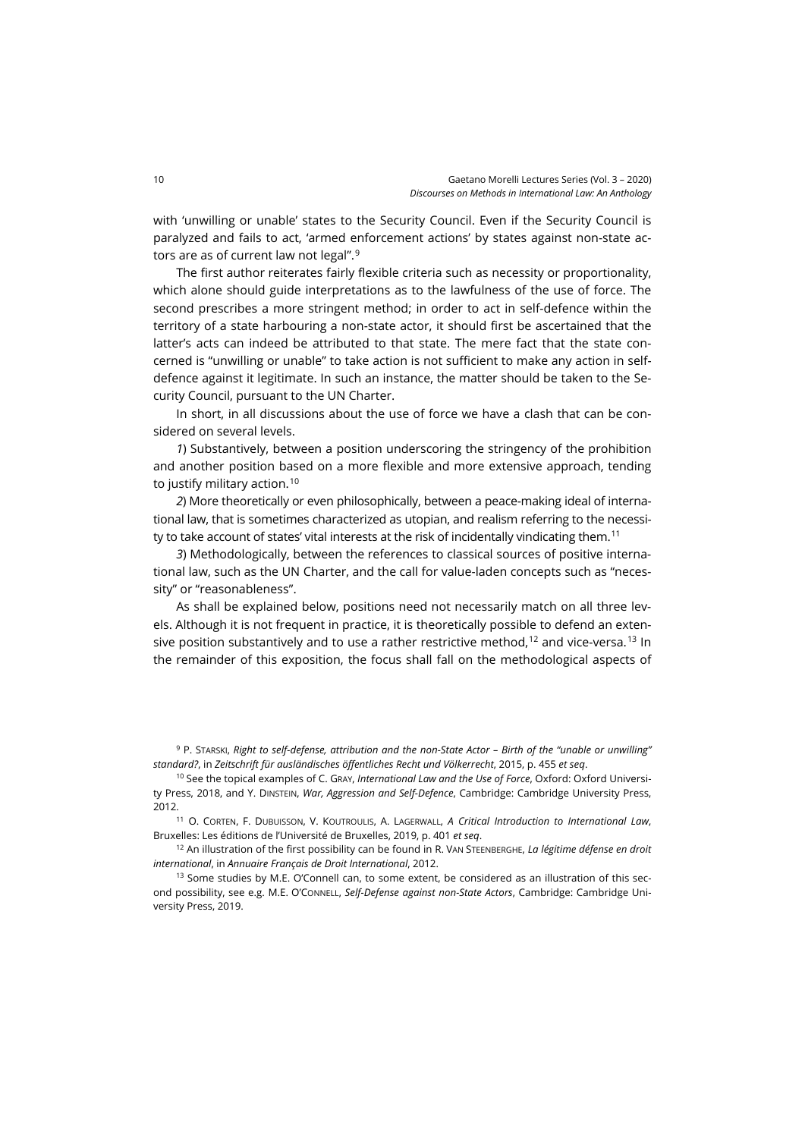with 'unwilling or unable' states to the Security Council. Even if the Security Council is paralyzed and fails to act, 'armed enforcement actions' by states against non-state actors are as of current law not legal".[9](#page-3-0)

The first author reiterates fairly flexible criteria such as necessity or proportionality, which alone should guide interpretations as to the lawfulness of the use of force. The second prescribes a more stringent method; in order to act in self-defence within the territory of a state harbouring a non-state actor, it should first be ascertained that the latter's acts can indeed be attributed to that state. The mere fact that the state concerned is "unwilling or unable" to take action is not sufficient to make any action in selfdefence against it legitimate. In such an instance, the matter should be taken to the Security Council, pursuant to the UN Charter.

In short, in all discussions about the use of force we have a clash that can be considered on several levels.

*1*) Substantively, between a position underscoring the stringency of the prohibition and another position based on a more flexible and more extensive approach, tending to justify military action.<sup>[10](#page-3-1)</sup>

*2*) More theoretically or even philosophically, between a peace-making ideal of international law, that is sometimes characterized as utopian, and realism referring to the necessity to take account of states' vital interests at the risk of incidentally vindicating them.[11](#page-3-2)

*3*) Methodologically, between the references to classical sources of positive international law, such as the UN Charter, and the call for value-laden concepts such as "necessity" or "reasonableness".

As shall be explained below, positions need not necessarily match on all three levels. Although it is not frequent in practice, it is theoretically possible to defend an extensive position substantively and to use a rather restrictive method, $12$  and vice-versa.<sup>[13](#page-3-4)</sup> In the remainder of this exposition, the focus shall fall on the methodological aspects of

<span id="page-3-0"></span><sup>9</sup> P. STARSKI, *Right to self-defense, attribution and the non-State Actor – Birth of the "unable or unwilling" standard?*, in *Zeitschrift für ausländisches öffentliches Recht und Völkerrecht*, 2015, p. 455 *et seq*.

<span id="page-3-1"></span><sup>10</sup> See the topical examples of C. GRAY, *International Law and the Use of Force*, Oxford: Oxford University Press, 2018, and Y. DINSTEIN, *War, Aggression and Self-Defence*, Cambridge: Cambridge University Press, 2012.

<span id="page-3-2"></span><sup>11</sup> O. CORTEN, F. DUBUISSON, V. KOUTROULIS, A. LAGERWALL, *A Critical Introduction to International Law*, Bruxelles: Les éditions de l'Université de Bruxelles, 2019, p. 401 *et seq*.

<span id="page-3-3"></span><sup>12</sup> An illustration of the first possibility can be found in R. VAN STEENBERGHE, *La légitime défense en droit international*, in *Annuaire Français de Droit International*, 2012.

<span id="page-3-4"></span><sup>13</sup> Some studies by M.E. O'Connell can, to some extent, be considered as an illustration of this second possibility, see e.g. M.E. O'CONNELL, *Self-Defense against non-State Actors*, Cambridge: Cambridge University Press, 2019.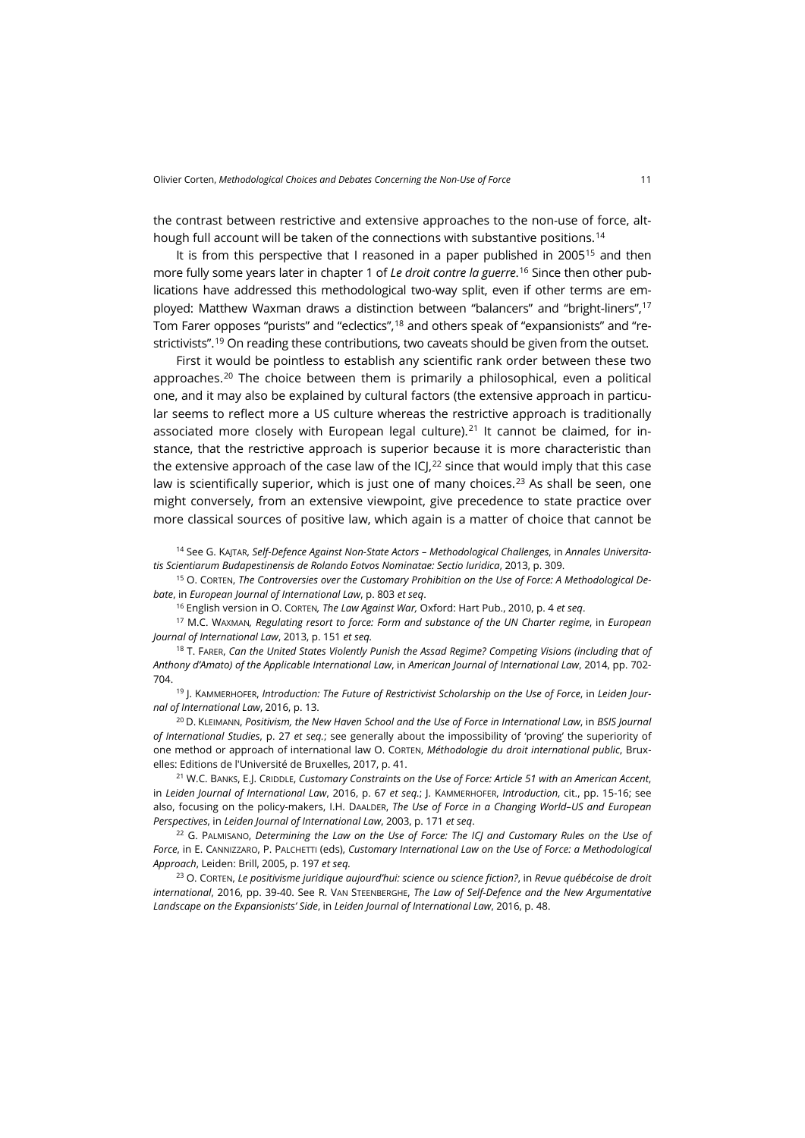the contrast between restrictive and extensive approaches to the non-use of force, alt-hough full account will be taken of the connections with substantive positions.<sup>[14](#page-4-0)</sup>

It is from this perspective that I reasoned in a paper published in 2005<sup>[15](#page-4-1)</sup> and then more fully some years later in chapter 1 of *Le droit contre la guerre*. [16](#page-4-2) Since then other publications have addressed this methodological two-way split, even if other terms are employed: Matthew Waxman draws a distinction between "balancers" and "bright-liners"[,17](#page-4-3) Tom Farer opposes "purists" and "eclectics",[18](#page-4-4) and others speak of "expansionists" and "re-strictivists".<sup>[19](#page-4-5)</sup> On reading these contributions, two caveats should be given from the outset.

First it would be pointless to establish any scientific rank order between these two approaches.<sup>[20](#page-4-6)</sup> The choice between them is primarily a philosophical, even a political one, and it may also be explained by cultural factors (the extensive approach in particular seems to reflect more a US culture whereas the restrictive approach is traditionally associated more closely with European legal culture).<sup>[21](#page-4-7)</sup> It cannot be claimed, for instance, that the restrictive approach is superior because it is more characteristic than the extensive approach of the case law of the ICJ, $^{22}$  $^{22}$  $^{22}$  since that would imply that this case law is scientifically superior, which is just one of many choices.<sup>[23](#page-4-9)</sup> As shall be seen, one might conversely, from an extensive viewpoint, give precedence to state practice over more classical sources of positive law, which again is a matter of choice that cannot be

<span id="page-4-0"></span><sup>14</sup> See G. KAJTAR, *Self-Defence Against Non-State Actors – Methodological Challenges*, in *Annales Universitatis Scientiarum Budapestinensis de Rolando Eotvos Nominatae: Sectio Iuridica*, 2013, p. 309.

<span id="page-4-1"></span><sup>15</sup> O. CORTEN, *The Controversies over the Customary Prohibition on the Use of Force: A Methodological Debate*, in *European Journal of International Law*, p. 803 *et seq*.

<sup>16</sup> English version in O. CORTEN*, The Law Against War,* Oxford: Hart Pub., 2010, p. 4 *et seq*.

<span id="page-4-3"></span><span id="page-4-2"></span><sup>17</sup> M.C. WAXMAN*, Regulating resort to force: Form and substance of the UN Charter regime*, in *European Journal of International Law*, 2013, p. 151 *et seq.*

<span id="page-4-4"></span><sup>18</sup> T. FARER, *Can the United States Violently Punish the Assad Regime? Competing Visions (including that of Anthony d'Amato) of the Applicable International Law*, in *American Journal of International Law*, 2014, pp. 702- 704.

<span id="page-4-5"></span><sup>19</sup> J. KAMMERHOFER, *Introduction: The Future of Restrictivist Scholarship on the Use of Force*, in *Leiden Journal of International Law*, 2016, p. 13.

<span id="page-4-6"></span><sup>20</sup> D. KLEIMANN, *Positivism, the New Haven School and the Use of Force in International Law*, in *BSIS Journal of International Studies*, p. 27 *et seq.*; see generally about the impossibility of 'proving' the superiority of one method or approach of international law O. CORTEN, *Méthodologie du droit international public*, Bruxelles: Editions de l'Université de Bruxelles, 2017, p. 41.

<span id="page-4-7"></span><sup>21</sup> W.C. BANKS, E.J. CRIDDLE, *Customary Constraints on the Use of Force: Article 51 with an American Accent*, in *Leiden Journal of International Law*, 2016, p. 67 *et seq.*; J. KAMMERHOFER, *Introduction*, cit., pp. 15-16; see also, focusing on the policy-makers, I.H. DAALDER, *The Use of Force in a Changing World–US and European Perspectives*, in *Leiden Journal of International Law*, 2003, p. 171 *et seq*.

<span id="page-4-8"></span><sup>22</sup> G. PALMISANO, *Determining the Law on the Use of Force: The ICJ and Customary Rules on the Use of Force*, in E. CANNIZZARO, P. PALCHETTI (eds), *Customary International Law on the Use of Force: a Methodological Approach*, Leiden: Brill, 2005, p. 197 *et seq.*

<span id="page-4-9"></span><sup>23</sup> O. CORTEN, *Le positivisme juridique aujourd'hui: science ou science fiction?*, in *Revue québécoise de droit international*, 2016, pp. 39-40. See R. VAN STEENBERGHE, *The Law of Self-Defence and the New Argumentative Landscape on the Expansionists' Side*, in *Leiden Journal of International Law*, 2016, p. 48.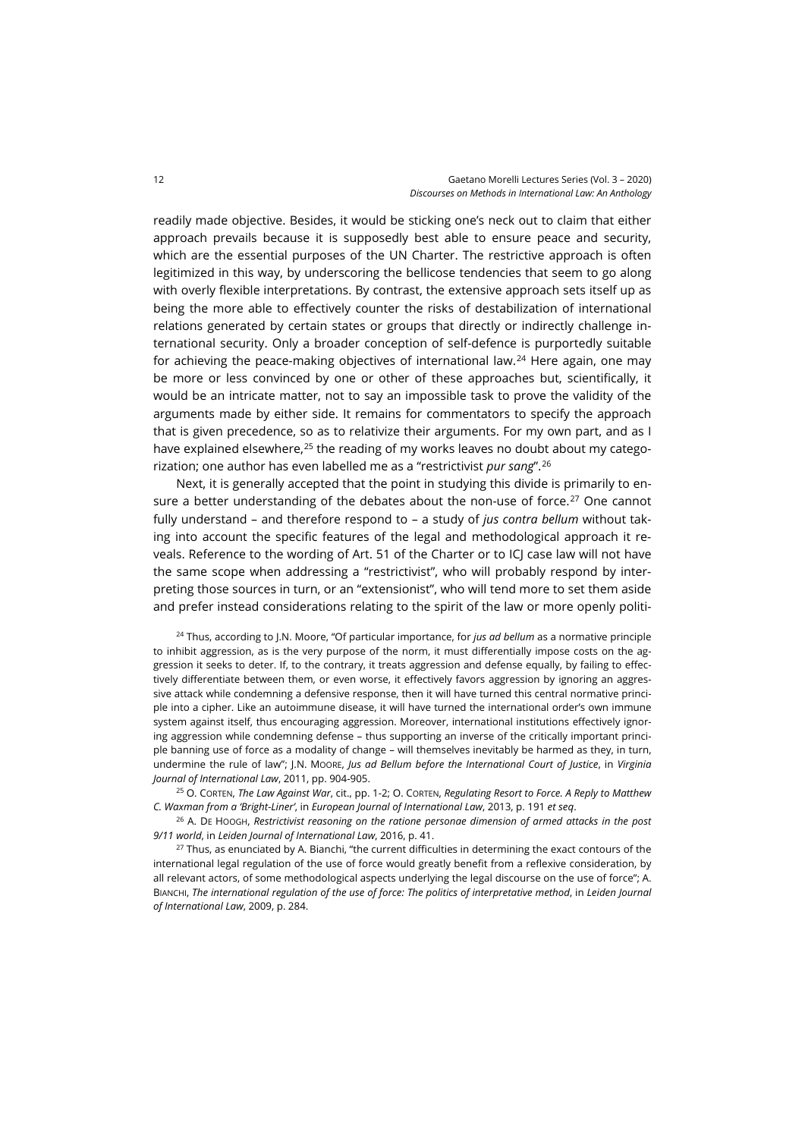readily made objective. Besides, it would be sticking one's neck out to claim that either approach prevails because it is supposedly best able to ensure peace and security, which are the essential purposes of the UN Charter. The restrictive approach is often legitimized in this way, by underscoring the bellicose tendencies that seem to go along with overly flexible interpretations. By contrast, the extensive approach sets itself up as being the more able to effectively counter the risks of destabilization of international relations generated by certain states or groups that directly or indirectly challenge international security. Only a broader conception of self-defence is purportedly suitable for achieving the peace-making objectives of international law.<sup>[24](#page-5-0)</sup> Here again, one may be more or less convinced by one or other of these approaches but, scientifically, it would be an intricate matter, not to say an impossible task to prove the validity of the arguments made by either side. It remains for commentators to specify the approach that is given precedence, so as to relativize their arguments. For my own part, and as I have explained elsewhere, $25$  the reading of my works leaves no doubt about my categorization; one author has even labelled me as a "restrictivist *pur sang*".[26](#page-5-2)

Next, it is generally accepted that the point in studying this divide is primarily to en-sure a better understanding of the debates about the non-use of force.<sup>[27](#page-5-3)</sup> One cannot fully understand – and therefore respond to – a study of *jus contra bellum* without taking into account the specific features of the legal and methodological approach it reveals. Reference to the wording of Art. 51 of the Charter or to ICJ case law will not have the same scope when addressing a "restrictivist", who will probably respond by interpreting those sources in turn, or an "extensionist", who will tend more to set them aside and prefer instead considerations relating to the spirit of the law or more openly politi-

<span id="page-5-0"></span><sup>24</sup> Thus, according to J.N. Moore, "Of particular importance, for *jus ad bellum* as a normative principle to inhibit aggression, as is the very purpose of the norm, it must differentially impose costs on the aggression it seeks to deter. If, to the contrary, it treats aggression and defense equally, by failing to effectively differentiate between them, or even worse, it effectively favors aggression by ignoring an aggressive attack while condemning a defensive response, then it will have turned this central normative principle into a cipher. Like an autoimmune disease, it will have turned the international order's own immune system against itself, thus encouraging aggression. Moreover, international institutions effectively ignoring aggression while condemning defense – thus supporting an inverse of the critically important principle banning use of force as a modality of change – will themselves inevitably be harmed as they, in turn, undermine the rule of law"; J.N. MOORE, *Jus ad Bellum before the International Court of Justice*, in *Virginia Journal of International Law*, 2011, pp. 904-905.

<span id="page-5-1"></span><sup>25</sup> O. CORTEN, *The Law Against War*, cit., pp. 1-2; O. CORTEN, *Regulating Resort to Force. A Reply to Matthew C. Waxman from a 'Bright-Liner'*, in *European Journal of International Law*, 2013, p. 191 *et seq*.

<span id="page-5-2"></span><sup>26</sup> A. DE HOOGH, *Restrictivist reasoning on the ratione personae dimension of armed attacks in the post 9/11 world*, in *Leiden Journal of International Law*, 2016, p. 41.

<span id="page-5-3"></span><sup>27</sup> Thus, as enunciated by A. Bianchi, "the current difficulties in determining the exact contours of the international legal regulation of the use of force would greatly benefit from a reflexive consideration, by all relevant actors, of some methodological aspects underlying the legal discourse on the use of force"; A. BIANCHI, *The international regulation of the use of force: The politics of interpretative method*, in *Leiden Journal of International Law*, 2009, p. 284.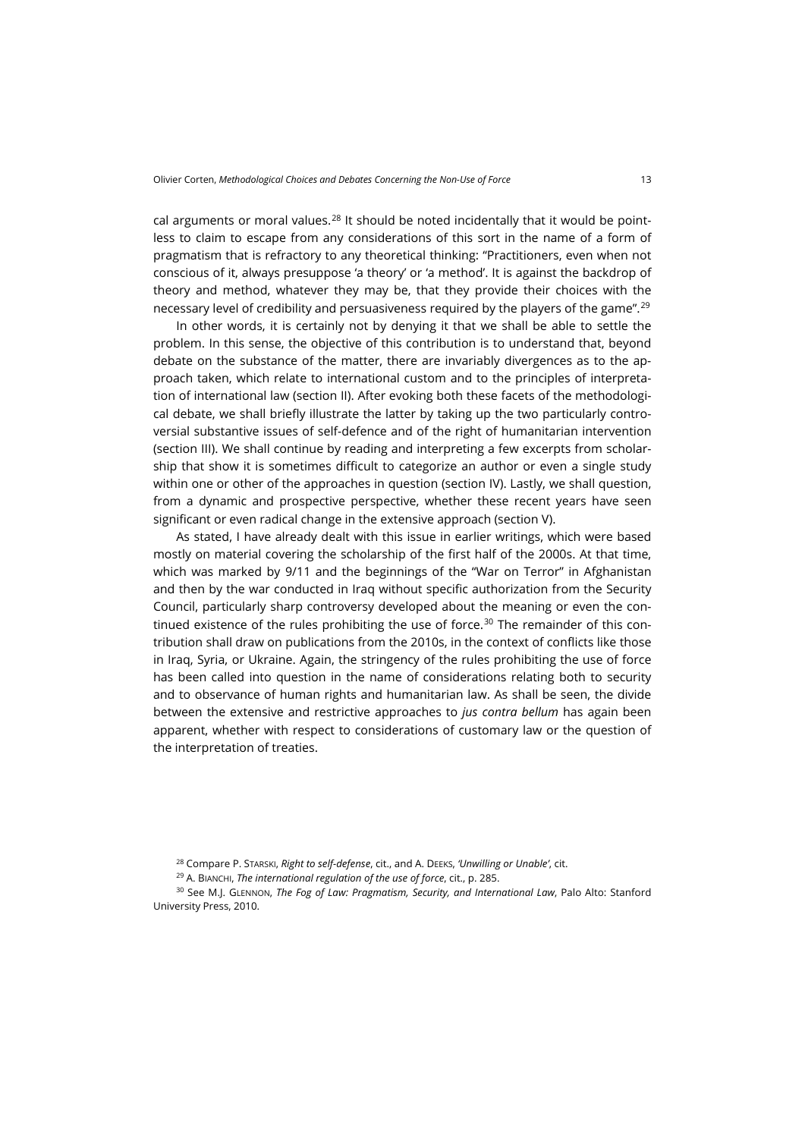cal arguments or moral values. $28$  It should be noted incidentally that it would be pointless to claim to escape from any considerations of this sort in the name of a form of pragmatism that is refractory to any theoretical thinking: "Practitioners, even when not conscious of it, always presuppose 'a theory' or 'a method'. It is against the backdrop of theory and method, whatever they may be, that they provide their choices with the necessary level of credibility and persuasiveness required by the players of the game".[29](#page-6-1)

In other words, it is certainly not by denying it that we shall be able to settle the problem. In this sense, the objective of this contribution is to understand that, beyond debate on the substance of the matter, there are invariably divergences as to the approach taken, which relate to international custom and to the principles of interpretation of international law (section II). After evoking both these facets of the methodological debate, we shall briefly illustrate the latter by taking up the two particularly controversial substantive issues of self-defence and of the right of humanitarian intervention (section III). We shall continue by reading and interpreting a few excerpts from scholarship that show it is sometimes difficult to categorize an author or even a single study within one or other of the approaches in question (section IV). Lastly, we shall question, from a dynamic and prospective perspective, whether these recent years have seen significant or even radical change in the extensive approach (section V).

As stated, I have already dealt with this issue in earlier writings, which were based mostly on material covering the scholarship of the first half of the 2000s. At that time, which was marked by 9/11 and the beginnings of the "War on Terror" in Afghanistan and then by the war conducted in Iraq without specific authorization from the Security Council, particularly sharp controversy developed about the meaning or even the con-tinued existence of the rules prohibiting the use of force.<sup>[30](#page-6-2)</sup> The remainder of this contribution shall draw on publications from the 2010s, in the context of conflicts like those in Iraq, Syria, or Ukraine. Again, the stringency of the rules prohibiting the use of force has been called into question in the name of considerations relating both to security and to observance of human rights and humanitarian law. As shall be seen, the divide between the extensive and restrictive approaches to *jus contra bellum* has again been apparent, whether with respect to considerations of customary law or the question of the interpretation of treaties.

<span id="page-6-2"></span><span id="page-6-1"></span><span id="page-6-0"></span><sup>30</sup> See M.J. GLENNON, *The Fog of Law: Pragmatism, Security, and International Law*, Palo Alto: Stanford University Press, 2010.

<sup>28</sup> Compare P. STARSKI, *Right to self-defense*, cit., and A. DEEKS, *'Unwilling or Unable'*, cit.

<sup>29</sup> A. BIANCHI, *The international regulation of the use of force*, cit., p. 285.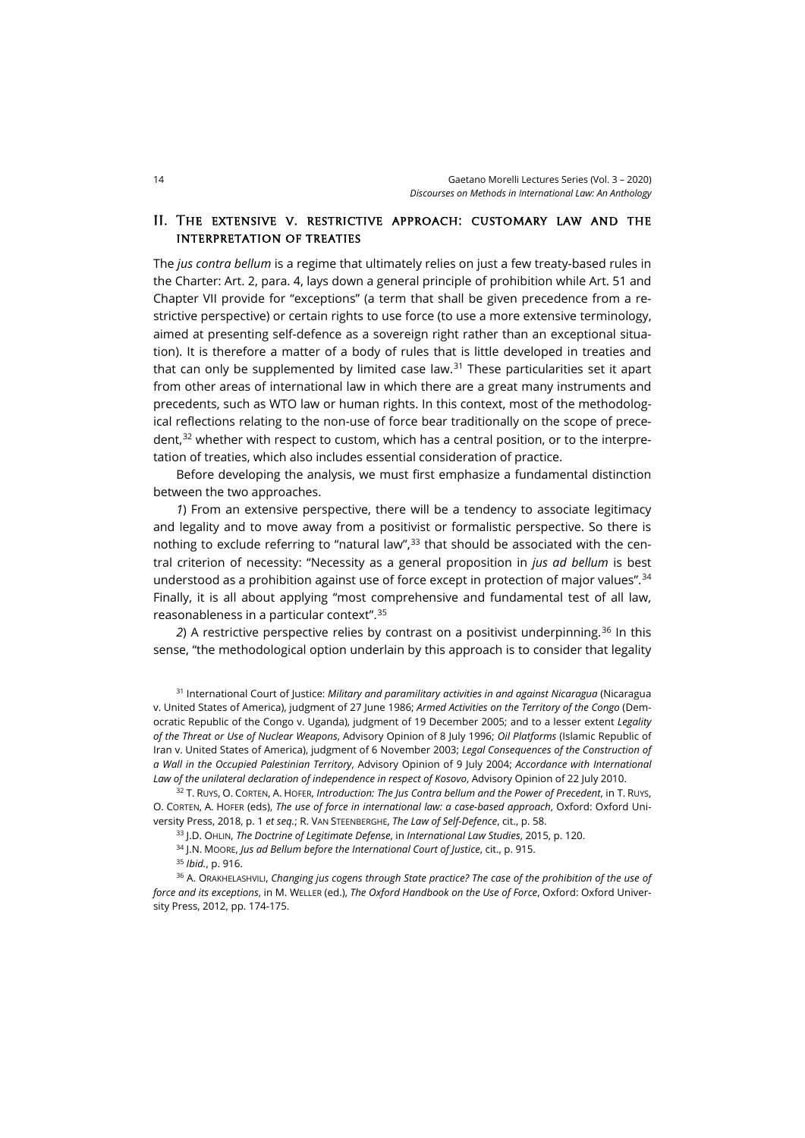## II. The extensive v. restrictive approach: customary law and the interpretation of treaties

The *jus contra bellum* is a regime that ultimately relies on just a few treaty-based rules in the Charter: Art. 2, para. 4, lays down a general principle of prohibition while Art. 51 and Chapter VII provide for "exceptions" (a term that shall be given precedence from a restrictive perspective) or certain rights to use force (to use a more extensive terminology, aimed at presenting self-defence as a sovereign right rather than an exceptional situation). It is therefore a matter of a body of rules that is little developed in treaties and that can only be supplemented by limited case law.<sup>[31](#page-7-0)</sup> These particularities set it apart from other areas of international law in which there are a great many instruments and precedents, such as WTO law or human rights. In this context, most of the methodological reflections relating to the non-use of force bear traditionally on the scope of precedent, $32$  whether with respect to custom, which has a central position, or to the interpretation of treaties, which also includes essential consideration of practice.

Before developing the analysis, we must first emphasize a fundamental distinction between the two approaches.

*1*) From an extensive perspective, there will be a tendency to associate legitimacy and legality and to move away from a positivist or formalistic perspective. So there is nothing to exclude referring to "natural law",<sup>[33](#page-7-2)</sup> that should be associated with the central criterion of necessity: "Necessity as a general proposition in *jus ad bellum* is best understood as a prohibition against use of force except in protection of major values".[34](#page-7-3) Finally, it is all about applying "most comprehensive and fundamental test of all law, reasonableness in a particular context".[35](#page-7-4)

*2*) A restrictive perspective relies by contrast on a positivist underpinning.[36](#page-7-5) In this sense, "the methodological option underlain by this approach is to consider that legality

<span id="page-7-0"></span><sup>31</sup> International Court of Justice: *Military and paramilitary activities in and against Nicaragua* (Nicaragua v. United States of America), judgment of 27 June 1986; *Armed Activities on the Territory of the Congo* (Democratic Republic of the Congo v. Uganda), judgment of 19 December 2005; and to a lesser extent *Legality of the Threat or Use of Nuclear Weapons*, Advisory Opinion of 8 July 1996; *Oil Platforms* (Islamic Republic of Iran v. United States of America), judgment of 6 November 2003; *Legal Consequences of the Construction of a Wall in the Occupied Palestinian Territory*, Advisory Opinion of 9 July 2004; *Accordance with International Law of the unilateral declaration of independence in respect of Kosovo*, Advisory Opinion of 22 July 2010.

<span id="page-7-1"></span><sup>32</sup> T. RUYS, O. CORTEN, A. HOFER, *Introduction: The Jus Contra bellum and the Power of Precedent*, in T. RUYS, O. CORTEN, A. HOFER (eds), *The use of force in international law: a case-based approach*, Oxford: Oxford University Press, 2018, p. 1 *et seq.*; R. VAN STEENBERGHE, *The Law of Self-Defence*, cit., p. 58.

<sup>33</sup> J.D. OHLIN, *The Doctrine of Legitimate Defense*, in *International Law Studies*, 2015, p. 120.

<sup>34</sup> J.N. MOORE, *Jus ad Bellum before the International Court of Justice*, cit., p. 915.

<sup>35</sup> *Ibid.*, p. 916.

<span id="page-7-5"></span><span id="page-7-4"></span><span id="page-7-3"></span><span id="page-7-2"></span><sup>36</sup> A. ORAKHELASHVILI, *Changing jus cogens through State practice? The case of the prohibition of the use of force and its exceptions*, in M. WELLER (ed.), *The Oxford Handbook on the Use of Force*, Oxford: Oxford University Press, 2012, pp. 174-175.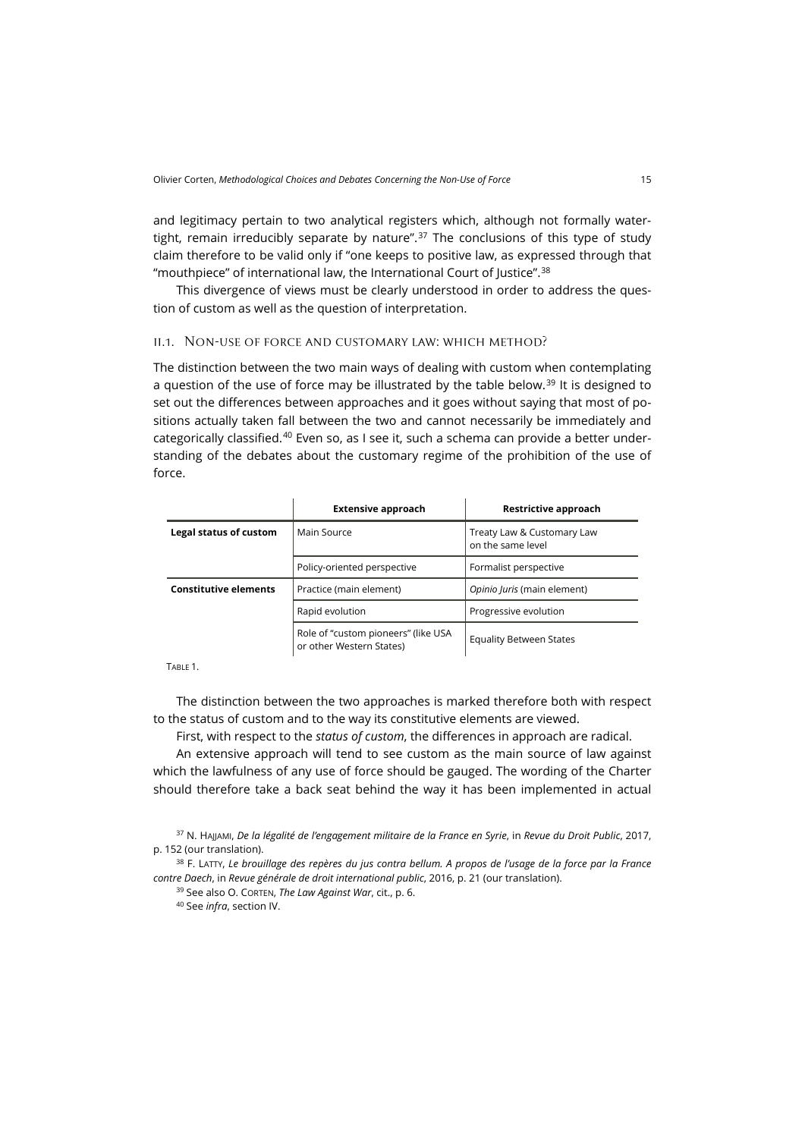and legitimacy pertain to two analytical registers which, although not formally water-tight, remain irreducibly separate by nature".<sup>[37](#page-8-0)</sup> The conclusions of this type of study claim therefore to be valid only if "one keeps to positive law, as expressed through that "mouthpiece" of international law, the International Court of Justice".[38](#page-8-1)

This divergence of views must be clearly understood in order to address the question of custom as well as the question of interpretation.

#### ii.1. Non-use of force and customary law: which method?

The distinction between the two main ways of dealing with custom when contemplating a question of the use of force may be illustrated by the table below.<sup>[39](#page-8-2)</sup> It is designed to set out the differences between approaches and it goes without saying that most of positions actually taken fall between the two and cannot necessarily be immediately and categorically classified.[40](#page-8-3) Even so, as I see it, such a schema can provide a better understanding of the debates about the customary regime of the prohibition of the use of force.

|                              | <b>Extensive approach</b>                                       | Restrictive approach                            |
|------------------------------|-----------------------------------------------------------------|-------------------------------------------------|
| Legal status of custom       | Main Source                                                     | Treaty Law & Customary Law<br>on the same level |
|                              | Policy-oriented perspective                                     | Formalist perspective                           |
| <b>Constitutive elements</b> | Practice (main element)                                         | Opinio Juris (main element)                     |
|                              | Rapid evolution                                                 | Progressive evolution                           |
|                              | Role of "custom pioneers" (like USA<br>or other Western States) | <b>Equality Between States</b>                  |

TABLE 1.

The distinction between the two approaches is marked therefore both with respect to the status of custom and to the way its constitutive elements are viewed.

First, with respect to the *status of custom*, the differences in approach are radical.

An extensive approach will tend to see custom as the main source of law against which the lawfulness of any use of force should be gauged. The wording of the Charter should therefore take a back seat behind the way it has been implemented in actual

<span id="page-8-0"></span><sup>37</sup> N. HAJJAMI, *De la légalité de l'engagement militaire de la France en Syrie*, in *Revue du Droit Public*, 2017, p. 152 (our translation).

<span id="page-8-3"></span><span id="page-8-2"></span><span id="page-8-1"></span><sup>38</sup> F. LATTY, *Le brouillage des repères du jus contra bellum. A propos de l'usage de la force par la France contre Daech*, in *Revue générale de droit international public*, 2016, p. 21 (our translation).

<sup>39</sup> See also O. CORTEN, *The Law Against War*, cit., p. 6.

<sup>40</sup> See *infra*, section IV.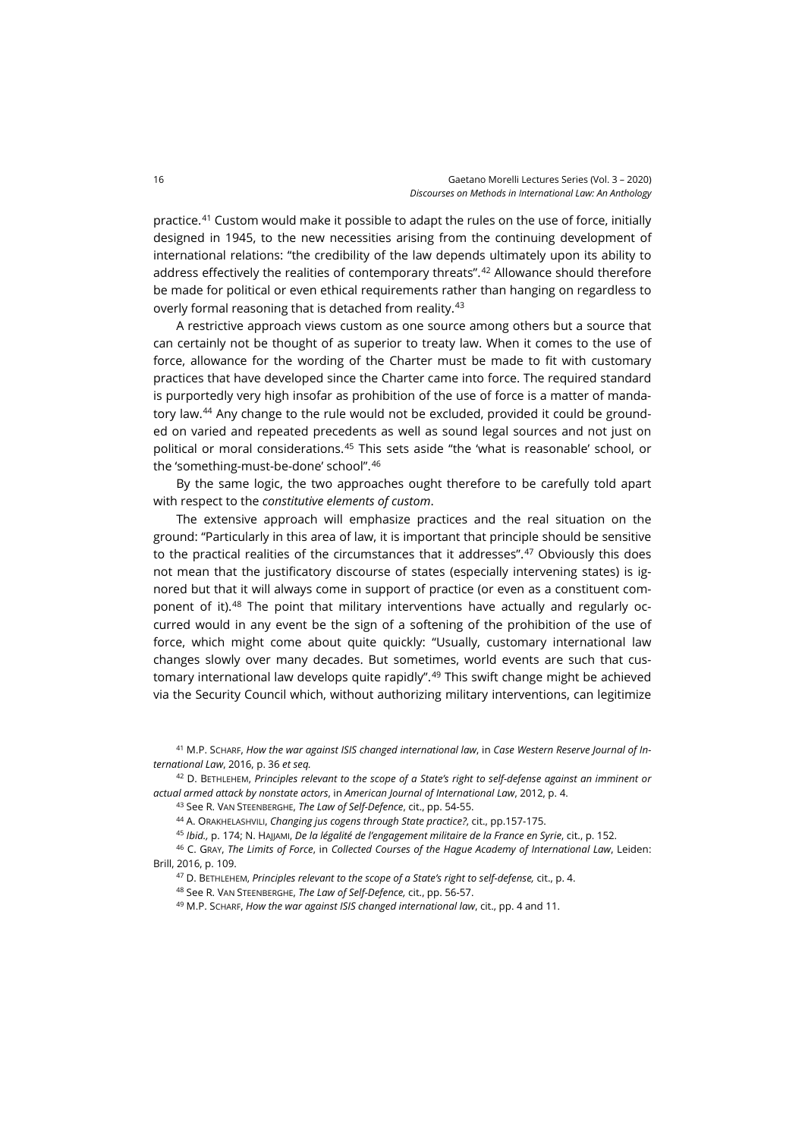practice.[41](#page-9-0) Custom would make it possible to adapt the rules on the use of force, initially designed in 1945, to the new necessities arising from the continuing development of international relations: "the credibility of the law depends ultimately upon its ability to address effectively the realities of contemporary threats".[42](#page-9-1) Allowance should therefore be made for political or even ethical requirements rather than hanging on regardless to overly formal reasoning that is detached from reality.<sup>[43](#page-9-2)</sup>

A restrictive approach views custom as one source among others but a source that can certainly not be thought of as superior to treaty law. When it comes to the use of force, allowance for the wording of the Charter must be made to fit with customary practices that have developed since the Charter came into force. The required standard is purportedly very high insofar as prohibition of the use of force is a matter of mandatory law.[44](#page-9-3) Any change to the rule would not be excluded, provided it could be grounded on varied and repeated precedents as well as sound legal sources and not just on political or moral considerations.[45](#page-9-4) This sets aside "the 'what is reasonable' school, or the 'something-must-be-done' school".[46](#page-9-5)

By the same logic, the two approaches ought therefore to be carefully told apart with respect to the *constitutive elements of custom*.

The extensive approach will emphasize practices and the real situation on the ground: "Particularly in this area of law, it is important that principle should be sensitive to the practical realities of the circumstances that it addresses".[47](#page-9-6) Obviously this does not mean that the justificatory discourse of states (especially intervening states) is ignored but that it will always come in support of practice (or even as a constituent component of it).[48](#page-9-7) The point that military interventions have actually and regularly occurred would in any event be the sign of a softening of the prohibition of the use of force, which might come about quite quickly: "Usually, customary international law changes slowly over many decades. But sometimes, world events are such that cus-tomary international law develops quite rapidly".<sup>[49](#page-9-8)</sup> This swift change might be achieved via the Security Council which, without authorizing military interventions, can legitimize

<span id="page-9-0"></span><sup>41</sup> M.P. SCHARF, *How the war against ISIS changed international law*, in *Case Western Reserve Journal of International Law*, 2016, p. 36 *et seq.*

<span id="page-9-2"></span><span id="page-9-1"></span><sup>42</sup> D. BETHLEHEM, *Principles relevant to the scope of a State's right to self-defense against an imminent or actual armed attack by nonstate actors*, in *American Journal of International Law*, 2012, p. 4.

<sup>43</sup> See R. VAN STEENBERGHE, *The Law of Self-Defence*, cit., pp. 54-55.

<sup>44</sup> A. ORAKHELASHVILI, *Changing jus cogens through State practice?*, cit., pp.157-175.

<sup>45</sup> *Ibid.,* p. 174; N. HAJJAMI, *De la légalité de l'engagement militaire de la France en Syrie*, cit., p. 152.

<span id="page-9-8"></span><span id="page-9-7"></span><span id="page-9-6"></span><span id="page-9-5"></span><span id="page-9-4"></span><span id="page-9-3"></span><sup>46</sup> C. GRAY, *The Limits of Force*, in *Collected Courses of the Hague Academy of International Law*, Leiden: Brill, 2016, p. 109.

<sup>47</sup> D. BETHLEHEM, *Principles relevant to the scope of a State's right to self-defense,* cit., p. 4.

<sup>48</sup> See R. VAN STEENBERGHE, *The Law of Self-Defence,* cit., pp. 56-57.

<sup>49</sup> M.P. SCHARF, *How the war against ISIS changed international law*, cit., pp. 4 and 11.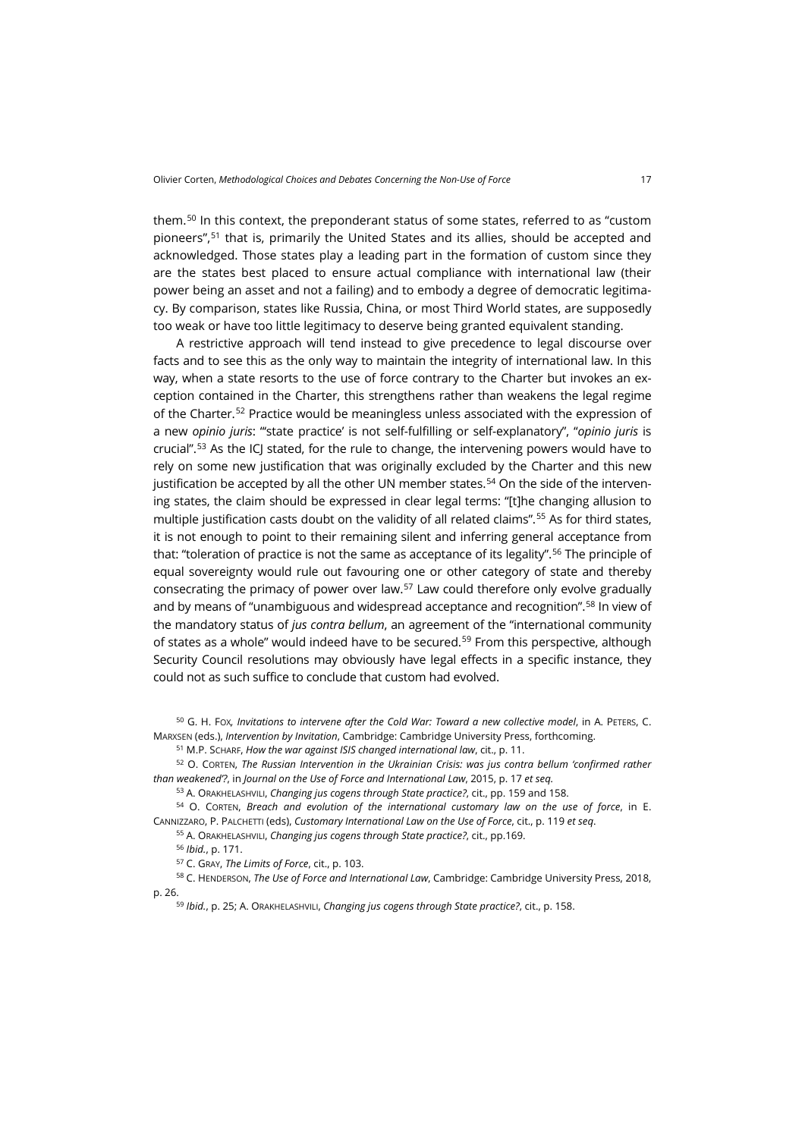them.[50](#page-10-0) In this context, the preponderant status of some states, referred to as "custom pioneers",[51](#page-10-1) that is, primarily the United States and its allies, should be accepted and acknowledged. Those states play a leading part in the formation of custom since they are the states best placed to ensure actual compliance with international law (their power being an asset and not a failing) and to embody a degree of democratic legitimacy. By comparison, states like Russia, China, or most Third World states, are supposedly too weak or have too little legitimacy to deserve being granted equivalent standing.

A restrictive approach will tend instead to give precedence to legal discourse over facts and to see this as the only way to maintain the integrity of international law. In this way, when a state resorts to the use of force contrary to the Charter but invokes an exception contained in the Charter, this strengthens rather than weakens the legal regime of the Charter.[52](#page-10-2) Practice would be meaningless unless associated with the expression of a new *opinio juris*: "'state practice' is not self-fulfilling or self-explanatory", "*opinio juris* is crucial".<sup>[53](#page-10-3)</sup> As the ICJ stated, for the rule to change, the intervening powers would have to rely on some new justification that was originally excluded by the Charter and this new justification be accepted by all the other UN member states.<sup>[54](#page-10-4)</sup> On the side of the intervening states, the claim should be expressed in clear legal terms: "[t]he changing allusion to multiple justification casts doubt on the validity of all related claims".[55](#page-10-5) As for third states, it is not enough to point to their remaining silent and inferring general acceptance from that: "toleration of practice is not the same as acceptance of its legality".[56](#page-10-6) The principle of equal sovereignty would rule out favouring one or other category of state and thereby consecrating the primacy of power over law.[57](#page-10-7) Law could therefore only evolve gradually and by means of "unambiguous and widespread acceptance and recognition".[58](#page-10-8) In view of the mandatory status of *jus contra bellum*, an agreement of the "international community of states as a whole" would indeed have to be secured.<sup>[59](#page-10-9)</sup> From this perspective, although Security Council resolutions may obviously have legal effects in a specific instance, they could not as such suffice to conclude that custom had evolved.

<span id="page-10-0"></span><sup>50</sup> G. H. FOX*, Invitations to intervene after the Cold War: Toward a new collective model*, in A. PETERS, C. MARXSEN (eds.), *Intervention by Invitation*, Cambridge: Cambridge University Press, forthcoming.

<sup>51</sup> M.P. SCHARF, *How the war against ISIS changed international law*, cit., p. 11.

<span id="page-10-2"></span><span id="page-10-1"></span><sup>52</sup> O. CORTEN, *The Russian Intervention in the Ukrainian Crisis: was jus contra bellum 'confirmed rather than weakened'?*, in *Journal on the Use of Force and International Law*, 2015, p. 17 *et seq.*

<sup>53</sup> A. ORAKHELASHVILI, *Changing jus cogens through State practice?*, cit., pp. 159 and 158.

<span id="page-10-5"></span><span id="page-10-4"></span><span id="page-10-3"></span><sup>54</sup> O. CORTEN, *Breach and evolution of the international customary law on the use of force*, in E. CANNIZZARO, P. PALCHETTI (eds), *Customary International Law on the Use of Force*, cit., p. 119 *et seq*.

<sup>55</sup> A. ORAKHELASHVILI, *Changing jus cogens through State practice?*, cit., pp.169.

<sup>56</sup> *Ibid.*, p. 171.

<sup>57</sup> C. GRAY, *The Limits of Force*, cit., p. 103.

<span id="page-10-9"></span><span id="page-10-8"></span><span id="page-10-7"></span><span id="page-10-6"></span><sup>58</sup> C. HENDERSON, *The Use of Force and International Law*, Cambridge: Cambridge University Press, 2018, p. 26.

<sup>59</sup> *Ibid.*, p. 25; A. ORAKHELASHVILI, *Changing jus cogens through State practice?*, cit., p. 158.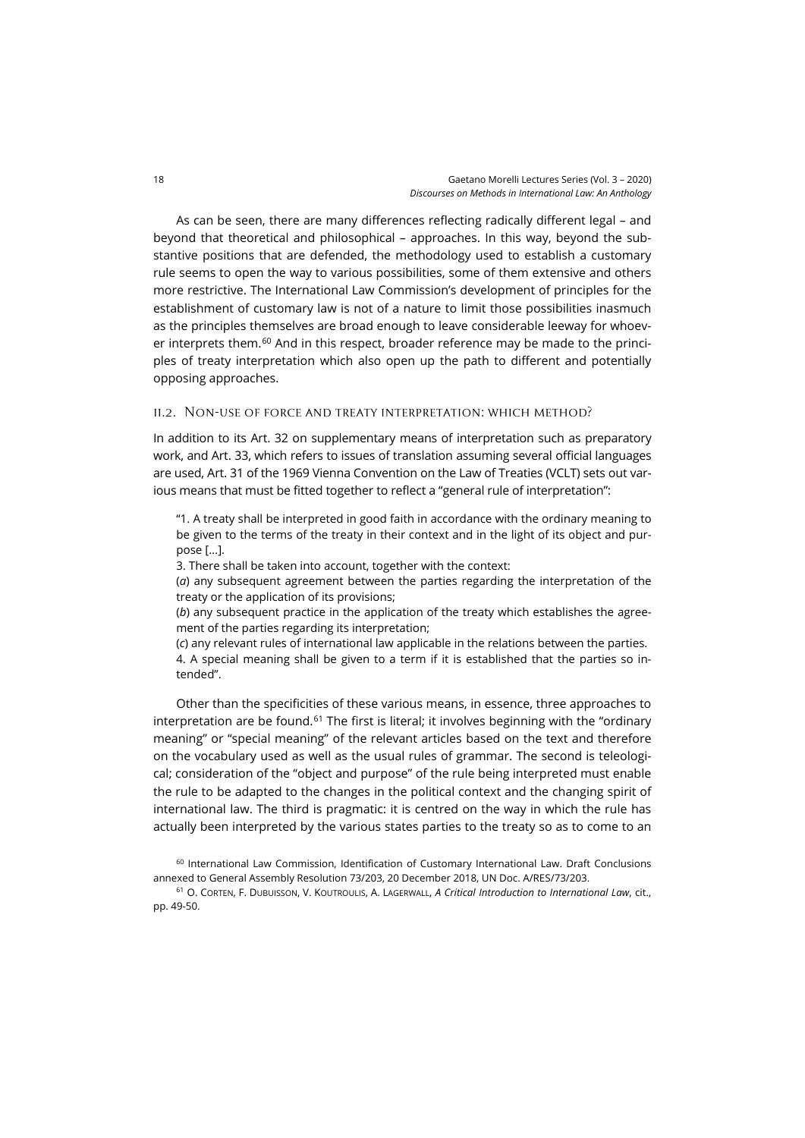As can be seen, there are many differences reflecting radically different legal – and beyond that theoretical and philosophical – approaches. In this way, beyond the substantive positions that are defended, the methodology used to establish a customary rule seems to open the way to various possibilities, some of them extensive and others more restrictive. The International Law Commission's development of principles for the establishment of customary law is not of a nature to limit those possibilities inasmuch as the principles themselves are broad enough to leave considerable leeway for whoev-er interprets them.<sup>[60](#page-11-0)</sup> And in this respect, broader reference may be made to the principles of treaty interpretation which also open up the path to different and potentially opposing approaches.

#### ii.2. Non-use of force and treaty interpretation: which method?

In addition to its Art. 32 on supplementary means of interpretation such as preparatory work, and Art. 33, which refers to issues of translation assuming several official languages are used, Art. 31 of the 1969 Vienna Convention on the Law of Treaties (VCLT) sets out various means that must be fitted together to reflect a "general rule of interpretation":

"1. A treaty shall be interpreted in good faith in accordance with the ordinary meaning to be given to the terms of the treaty in their context and in the light of its object and purpose […].

3. There shall be taken into account, together with the context:

(*a*) any subsequent agreement between the parties regarding the interpretation of the treaty or the application of its provisions;

(*b*) any subsequent practice in the application of the treaty which establishes the agreement of the parties regarding its interpretation;

(*c*) any relevant rules of international law applicable in the relations between the parties.

4. A special meaning shall be given to a term if it is established that the parties so intended".

Other than the specificities of these various means, in essence, three approaches to interpretation are be found.<sup>[61](#page-11-1)</sup> The first is literal; it involves beginning with the "ordinary meaning" or "special meaning" of the relevant articles based on the text and therefore on the vocabulary used as well as the usual rules of grammar. The second is teleological; consideration of the "object and purpose" of the rule being interpreted must enable the rule to be adapted to the changes in the political context and the changing spirit of international law. The third is pragmatic: it is centred on the way in which the rule has actually been interpreted by the various states parties to the treaty so as to come to an

<span id="page-11-1"></span><sup>61</sup> O. CORTEN, F. DUBUISSON, V. KOUTROULIS, A. LAGERWALL, *A Critical Introduction to International Law*, cit., pp. 49-50.

<span id="page-11-0"></span><sup>60</sup> International Law Commission, Identification of Customary International Law. Draft Conclusions annexed to General Assembly Resolution 73/203, 20 December 2018, UN Doc. A/RES/73/203.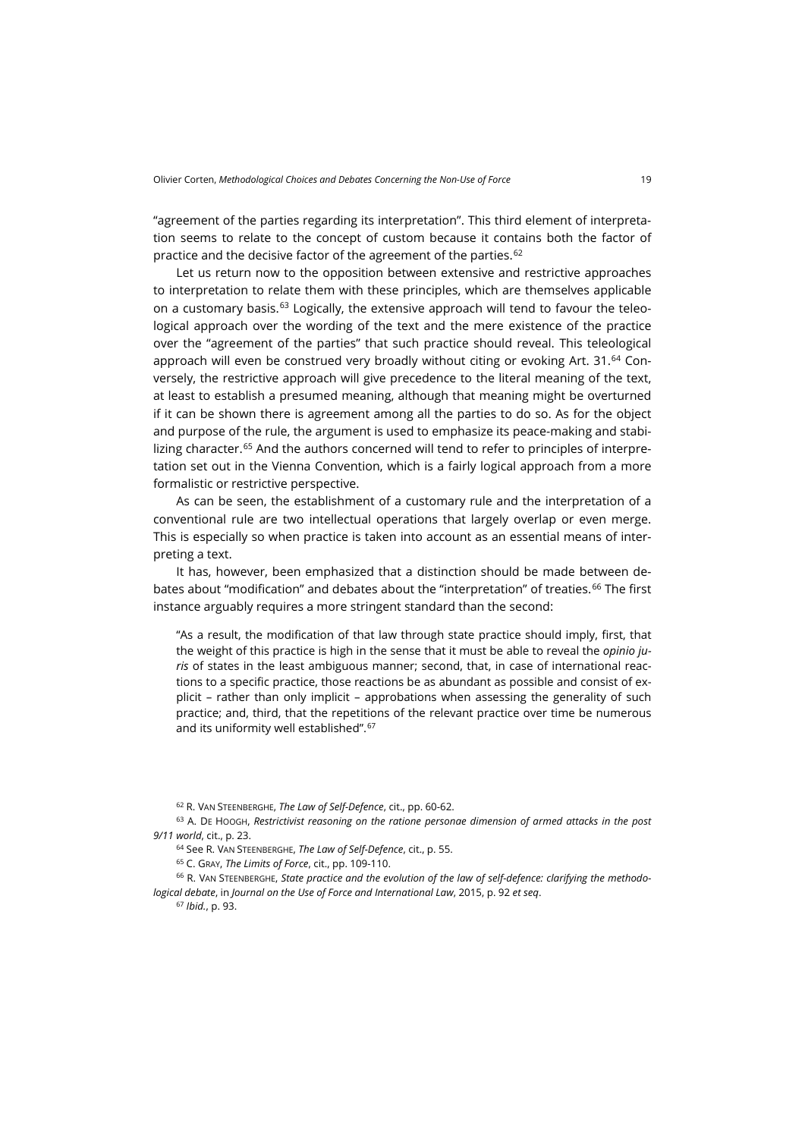"agreement of the parties regarding its interpretation". This third element of interpretation seems to relate to the concept of custom because it contains both the factor of practice and the decisive factor of the agreement of the parties.<sup>[62](#page-12-0)</sup>

Let us return now to the opposition between extensive and restrictive approaches to interpretation to relate them with these principles, which are themselves applicable on a customary basis.<sup>[63](#page-12-1)</sup> Logically, the extensive approach will tend to favour the teleological approach over the wording of the text and the mere existence of the practice over the "agreement of the parties" that such practice should reveal. This teleological approach will even be construed very broadly without citing or evoking Art.  $31<sup>64</sup>$  $31<sup>64</sup>$  $31<sup>64</sup>$  Conversely, the restrictive approach will give precedence to the literal meaning of the text, at least to establish a presumed meaning, although that meaning might be overturned if it can be shown there is agreement among all the parties to do so. As for the object and purpose of the rule, the argument is used to emphasize its peace-making and stabi-lizing character.<sup>[65](#page-12-3)</sup> And the authors concerned will tend to refer to principles of interpretation set out in the Vienna Convention, which is a fairly logical approach from a more formalistic or restrictive perspective.

As can be seen, the establishment of a customary rule and the interpretation of a conventional rule are two intellectual operations that largely overlap or even merge. This is especially so when practice is taken into account as an essential means of interpreting a text.

It has, however, been emphasized that a distinction should be made between de-bates about "modification" and debates about the "interpretation" of treaties.<sup>[66](#page-12-4)</sup> The first instance arguably requires a more stringent standard than the second:

"As a result, the modification of that law through state practice should imply, first, that the weight of this practice is high in the sense that it must be able to reveal the *opinio juris* of states in the least ambiguous manner; second, that, in case of international reactions to a specific practice, those reactions be as abundant as possible and consist of explicit – rather than only implicit – approbations when assessing the generality of such practice; and, third, that the repetitions of the relevant practice over time be numerous and its uniformity well established".<sup>[67](#page-12-5)</sup>

<sup>62</sup> R. VAN STEENBERGHE, *The Law of Self-Defence*, cit., pp. 60-62.

<span id="page-12-1"></span><span id="page-12-0"></span><sup>63</sup> A. DE HOOGH, *Restrictivist reasoning on the ratione personae dimension of armed attacks in the post 9/11 world*, cit., p. 23.

<sup>64</sup> See R. VAN STEENBERGHE, *The Law of Self-Defence*, cit., p. 55.

<sup>65</sup> C. GRAY, *The Limits of Force*, cit., pp. 109-110.

<span id="page-12-5"></span><span id="page-12-4"></span><span id="page-12-3"></span><span id="page-12-2"></span><sup>66</sup> R. VAN STEENBERGHE, *State practice and the evolution of the law of self-defence: clarifying the methodological debate*, in *Journal on the Use of Force and International Law*, 2015, p. 92 *et seq*.

<sup>67</sup> *Ibid.*, p. 93.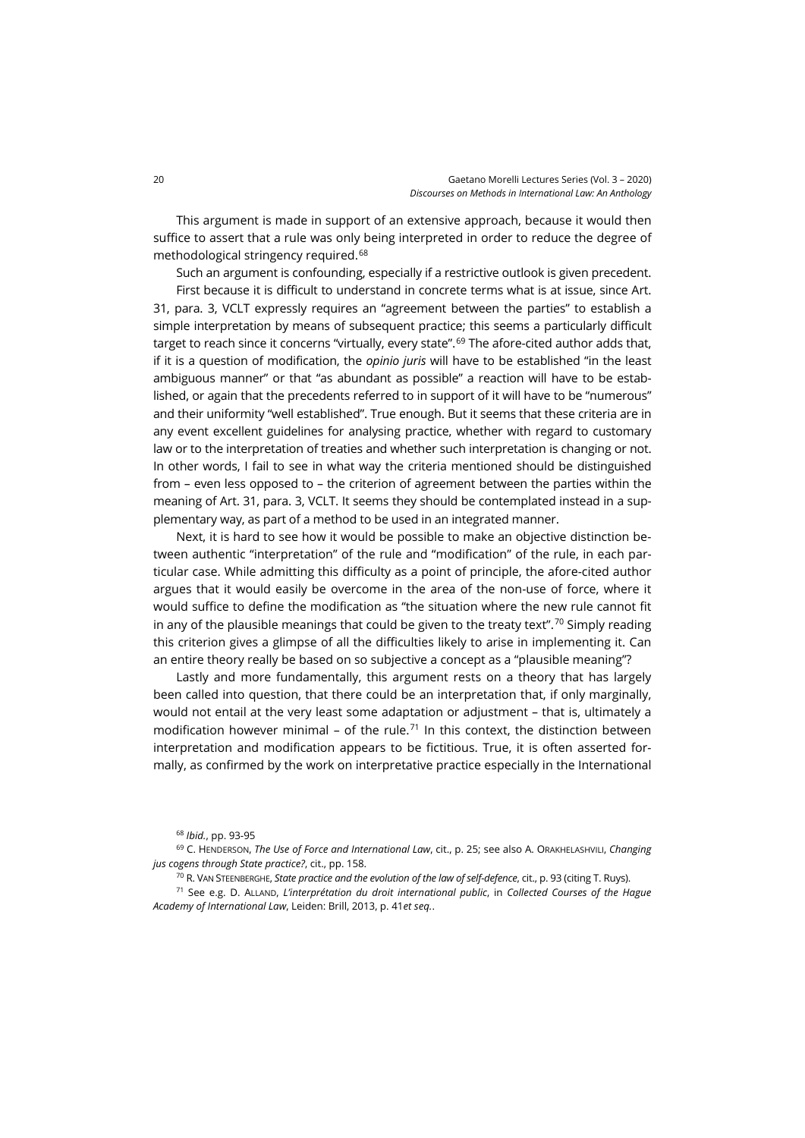This argument is made in support of an extensive approach, because it would then suffice to assert that a rule was only being interpreted in order to reduce the degree of methodological stringency required.[68](#page-13-0)

Such an argument is confounding, especially if a restrictive outlook is given precedent.

First because it is difficult to understand in concrete terms what is at issue, since Art. 31, para. 3, VCLT expressly requires an "agreement between the parties" to establish a simple interpretation by means of subsequent practice; this seems a particularly difficult target to reach since it concerns "virtually, every state".<sup>[69](#page-13-1)</sup> The afore-cited author adds that, if it is a question of modification, the *opinio juris* will have to be established "in the least ambiguous manner" or that "as abundant as possible" a reaction will have to be established, or again that the precedents referred to in support of it will have to be "numerous" and their uniformity "well established". True enough. But it seems that these criteria are in any event excellent guidelines for analysing practice, whether with regard to customary law or to the interpretation of treaties and whether such interpretation is changing or not. In other words, I fail to see in what way the criteria mentioned should be distinguished from – even less opposed to – the criterion of agreement between the parties within the meaning of Art. 31, para. 3, VCLT. It seems they should be contemplated instead in a supplementary way, as part of a method to be used in an integrated manner.

Next, it is hard to see how it would be possible to make an objective distinction between authentic "interpretation" of the rule and "modification" of the rule, in each particular case. While admitting this difficulty as a point of principle, the afore-cited author argues that it would easily be overcome in the area of the non-use of force, where it would suffice to define the modification as "the situation where the new rule cannot fit in any of the plausible meanings that could be given to the treaty text".<sup>[70](#page-13-2)</sup> Simply reading this criterion gives a glimpse of all the difficulties likely to arise in implementing it. Can an entire theory really be based on so subjective a concept as a "plausible meaning"?

Lastly and more fundamentally, this argument rests on a theory that has largely been called into question, that there could be an interpretation that, if only marginally, would not entail at the very least some adaptation or adjustment – that is, ultimately a modification however minimal – of the rule.<sup>[71](#page-13-3)</sup> In this context, the distinction between interpretation and modification appears to be fictitious. True, it is often asserted formally, as confirmed by the work on interpretative practice especially in the International

<sup>70</sup> R. VAN STEENBERGHE, *State practice and the evolution of the law of self-defence*, cit., p. 93 (citing T. Ruys).

<span id="page-13-3"></span><span id="page-13-2"></span><sup>71</sup> See e.g. D. ALLAND, *L'interprétation du droit international public*, in *Collected Courses of the Hague Academy of International Law*, Leiden: Brill, 2013, p. 41*et seq.*.

<sup>68</sup> *Ibid.*, pp. 93-95

<span id="page-13-1"></span><span id="page-13-0"></span><sup>69</sup> C. HENDERSON, *The Use of Force and International Law*, cit., p. 25; see also A. ORAKHELASHVILI, *Changing jus cogens through State practice?*, cit., pp. 158.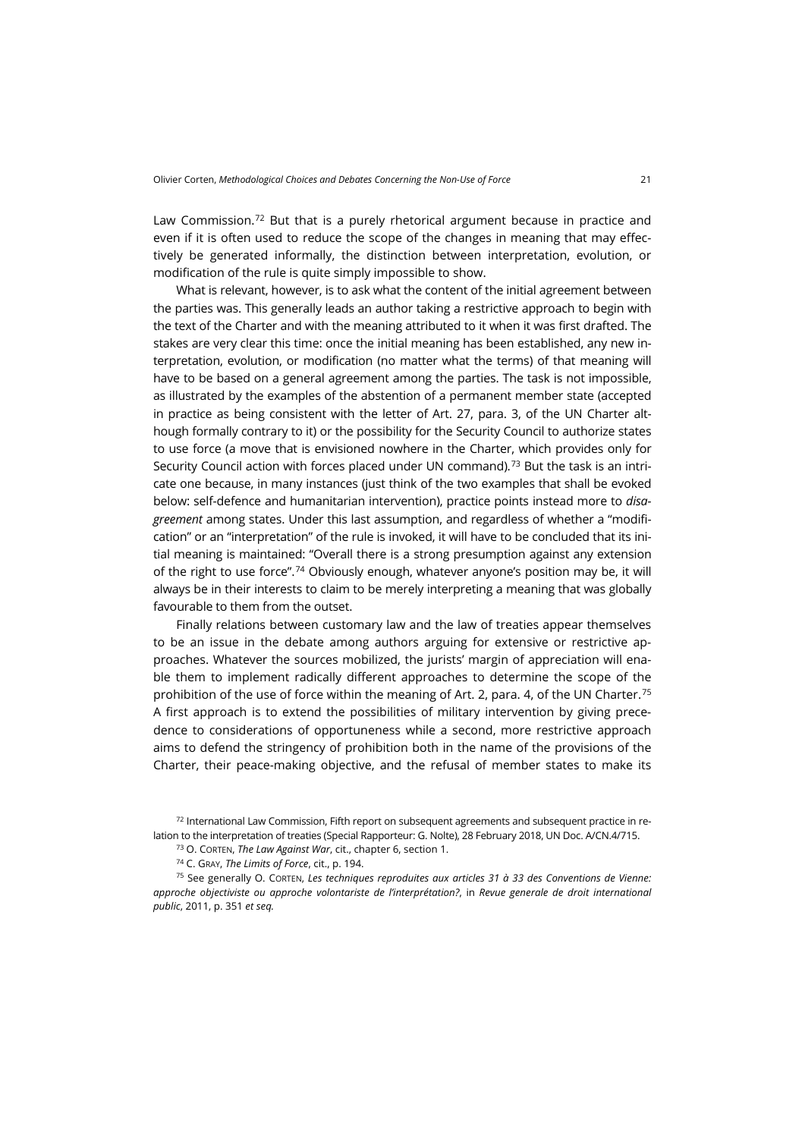Law Commission.<sup>[72](#page-14-0)</sup> But that is a purely rhetorical argument because in practice and even if it is often used to reduce the scope of the changes in meaning that may effectively be generated informally, the distinction between interpretation, evolution, or modification of the rule is quite simply impossible to show.

What is relevant, however, is to ask what the content of the initial agreement between the parties was. This generally leads an author taking a restrictive approach to begin with the text of the Charter and with the meaning attributed to it when it was first drafted. The stakes are very clear this time: once the initial meaning has been established, any new interpretation, evolution, or modification (no matter what the terms) of that meaning will have to be based on a general agreement among the parties. The task is not impossible, as illustrated by the examples of the abstention of a permanent member state (accepted in practice as being consistent with the letter of Art. 27, para. 3, of the UN Charter although formally contrary to it) or the possibility for the Security Council to authorize states to use force (a move that is envisioned nowhere in the Charter, which provides only for Security Council action with forces placed under UN command).<sup>[73](#page-14-1)</sup> But the task is an intricate one because, in many instances (just think of the two examples that shall be evoked below: self-defence and humanitarian intervention), practice points instead more to *disagreement* among states. Under this last assumption, and regardless of whether a "modification" or an "interpretation" of the rule is invoked, it will have to be concluded that its initial meaning is maintained: "Overall there is a strong presumption against any extension of the right to use force".[74](#page-14-2) Obviously enough, whatever anyone's position may be, it will always be in their interests to claim to be merely interpreting a meaning that was globally favourable to them from the outset.

Finally relations between customary law and the law of treaties appear themselves to be an issue in the debate among authors arguing for extensive or restrictive approaches. Whatever the sources mobilized, the jurists' margin of appreciation will enable them to implement radically different approaches to determine the scope of the prohibition of the use of force within the meaning of Art. 2, para. 4, of the UN Charter.<sup>[75](#page-14-3)</sup> A first approach is to extend the possibilities of military intervention by giving precedence to considerations of opportuneness while a second, more restrictive approach aims to defend the stringency of prohibition both in the name of the provisions of the Charter, their peace-making objective, and the refusal of member states to make its

<sup>73</sup> O. CORTEN, *The Law Against War*, cit., chapter 6, section 1.

<span id="page-14-3"></span><span id="page-14-2"></span><sup>75</sup> See generally O. CORTEN, *Les techniques reproduites aux articles 31 à 33 des Conventions de Vienne: approche objectiviste ou approche volontariste de l'interprétation?*, in *Revue generale de droit international public*, 2011, p. 351 *et seq.*

<span id="page-14-1"></span><span id="page-14-0"></span> $72$  International Law Commission, Fifth report on subsequent agreements and subsequent practice in relation to the interpretation of treaties (Special Rapporteur: G. Nolte), 28 February 2018, UN Doc. A/CN.4/715.

<sup>74</sup> C. GRAY, *The Limits of Force*, cit., p. 194.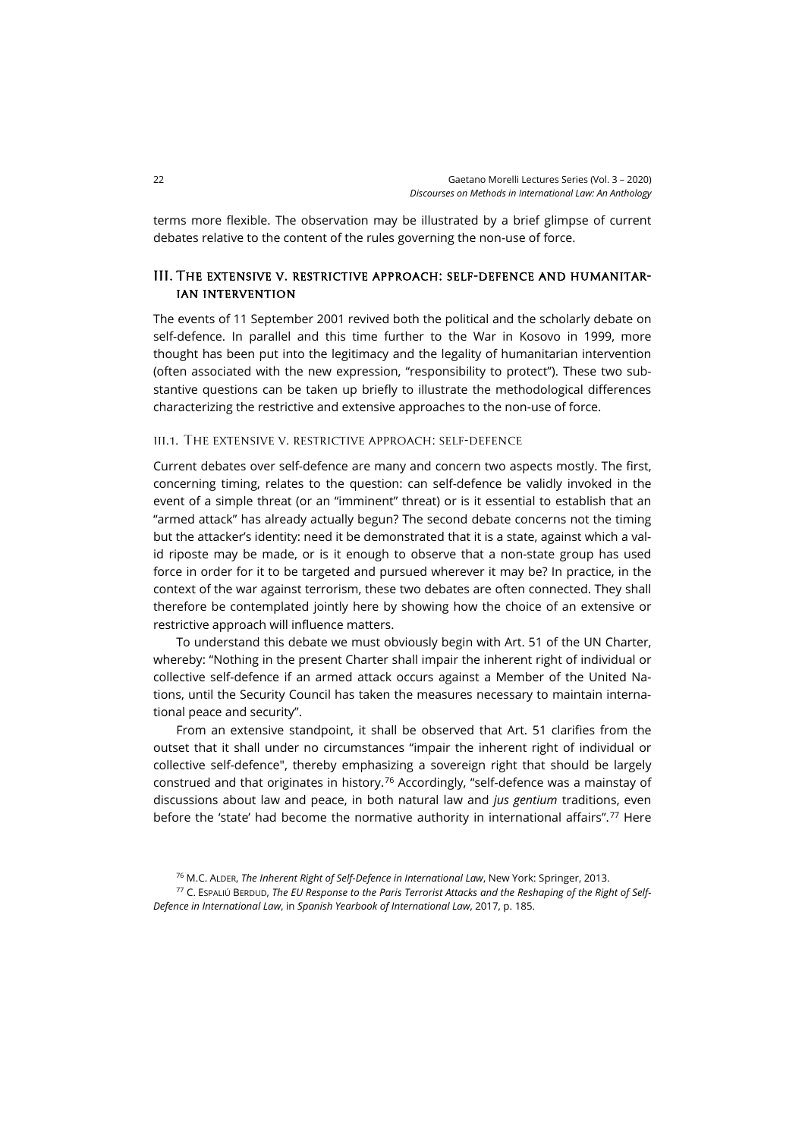terms more flexible. The observation may be illustrated by a brief glimpse of current debates relative to the content of the rules governing the non-use of force.

## III. The extensive v. restrictive approach: self-defence and humanitarian intervention

The events of 11 September 2001 revived both the political and the scholarly debate on self-defence. In parallel and this time further to the War in Kosovo in 1999, more thought has been put into the legitimacy and the legality of humanitarian intervention (often associated with the new expression, "responsibility to protect"). These two substantive questions can be taken up briefly to illustrate the methodological differences characterizing the restrictive and extensive approaches to the non-use of force.

#### iii.1. The extensive v. restrictive approach: self-defence

Current debates over self-defence are many and concern two aspects mostly. The first, concerning timing, relates to the question: can self-defence be validly invoked in the event of a simple threat (or an "imminent" threat) or is it essential to establish that an "armed attack" has already actually begun? The second debate concerns not the timing but the attacker's identity: need it be demonstrated that it is a state, against which a valid riposte may be made, or is it enough to observe that a non-state group has used force in order for it to be targeted and pursued wherever it may be? In practice, in the context of the war against terrorism, these two debates are often connected. They shall therefore be contemplated jointly here by showing how the choice of an extensive or restrictive approach will influence matters.

To understand this debate we must obviously begin with Art. 51 of the UN Charter, whereby: "Nothing in the present Charter shall impair the inherent right of individual or collective self-defence if an armed attack occurs against a Member of the United Nations, until the Security Council has taken the measures necessary to maintain international peace and security".

From an extensive standpoint, it shall be observed that Art. 51 clarifies from the outset that it shall under no circumstances "impair the inherent right of individual or collective self-defence", thereby emphasizing a sovereign right that should be largely construed and that originates in history.[76](#page-15-0) Accordingly, "self-defence was a mainstay of discussions about law and peace, in both natural law and *jus gentium* traditions, even before the 'state' had become the normative authority in international affairs".<sup>[77](#page-15-1)</sup> Here

<sup>76</sup> M.C. ALDER, *The Inherent Right of Self-Defence in International Law*, New York: Springer, 2013.

<span id="page-15-1"></span><span id="page-15-0"></span><sup>77</sup> C. ESPALIÚ BERDUD, *The EU Response to the Paris Terrorist Attacks and the Reshaping of the Right of Self-Defence in International Law*, in *Spanish Yearbook of International Law*, 2017, p. 185.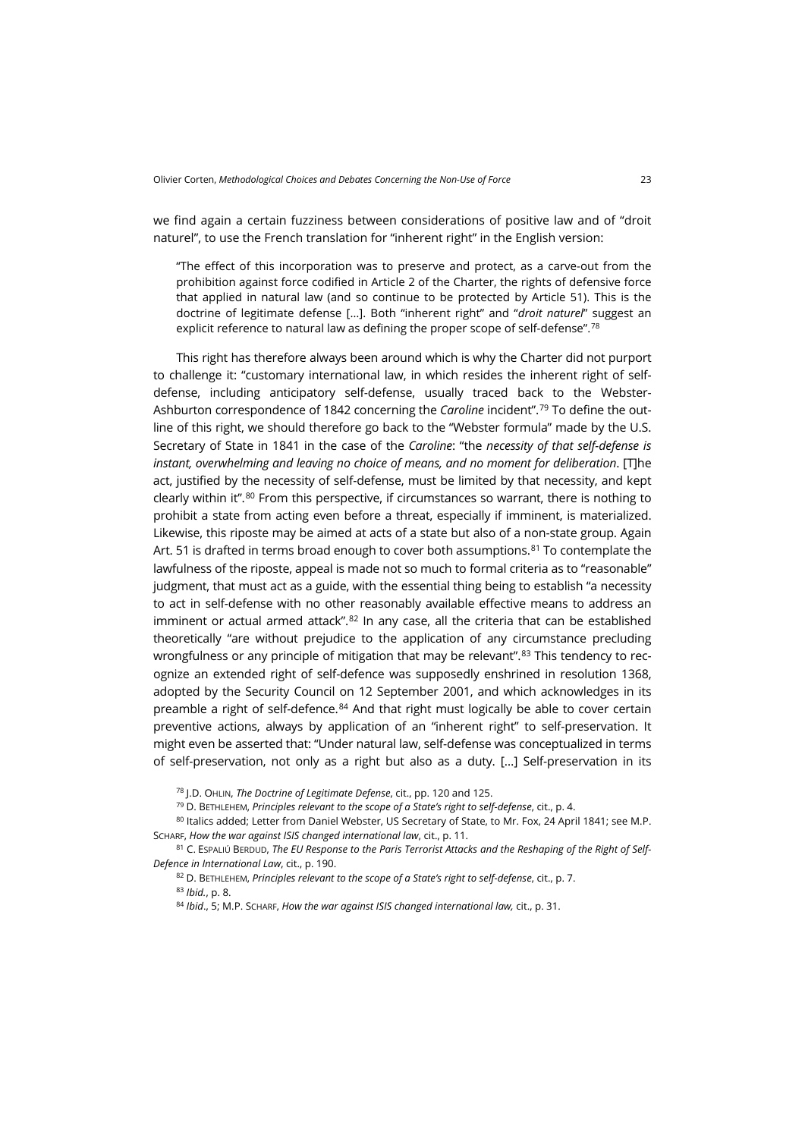we find again a certain fuzziness between considerations of positive law and of "droit naturel", to use the French translation for "inherent right" in the English version:

"The effect of this incorporation was to preserve and protect, as a carve-out from the prohibition against force codified in Article 2 of the Charter, the rights of defensive force that applied in natural law (and so continue to be protected by Article 51). This is the doctrine of legitimate defense […]. Both "inherent right" and "*droit naturel*" suggest an explicit reference to natural law as defining the proper scope of self-defense".<sup>[78](#page-16-0)</sup>

This right has therefore always been around which is why the Charter did not purport to challenge it: "customary international law, in which resides the inherent right of selfdefense, including anticipatory self-defense, usually traced back to the Webster-Ashburton correspondence of 1842 concerning the *Caroline* incident"[.79](#page-16-1) To define the outline of this right, we should therefore go back to the "Webster formula" made by the U.S. Secretary of State in 1841 in the case of the *Caroline*: "the *necessity of that self-defense is instant, overwhelming and leaving no choice of means, and no moment for deliberation*. [T]he act, justified by the necessity of self-defense, must be limited by that necessity, and kept clearly within it".[80](#page-16-2) From this perspective, if circumstances so warrant, there is nothing to prohibit a state from acting even before a threat, especially if imminent, is materialized. Likewise, this riposte may be aimed at acts of a state but also of a non-state group. Again Art. 51 is drafted in terms broad enough to cover both assumptions.<sup>[81](#page-16-3)</sup> To contemplate the lawfulness of the riposte, appeal is made not so much to formal criteria as to "reasonable" judgment, that must act as a guide, with the essential thing being to establish "a necessity to act in self-defense with no other reasonably available effective means to address an imminent or actual armed attack". $82$  In any case, all the criteria that can be established theoretically "are without prejudice to the application of any circumstance precluding wrongfulness or any principle of mitigation that may be relevant".<sup>[83](#page-16-5)</sup> This tendency to recognize an extended right of self-defence was supposedly enshrined in resolution 1368, adopted by the Security Council on 12 September 2001, and which acknowledges in its preamble a right of self-defence.<sup>[84](#page-16-6)</sup> And that right must logically be able to cover certain preventive actions, always by application of an "inherent right" to self-preservation. It might even be asserted that: "Under natural law, self-defense was conceptualized in terms of self-preservation, not only as a right but also as a duty. […] Self-preservation in its

<sup>78</sup> J.D. OHLIN, *The Doctrine of Legitimate Defense*, cit., pp. 120 and 125.

<sup>79</sup> D. BETHLEHEM, *Principles relevant to the scope of a State's right to self-defense*, cit., p. 4.

<span id="page-16-2"></span><span id="page-16-1"></span><span id="page-16-0"></span>80 Italics added; Letter from Daniel Webster, US Secretary of State, to Mr. Fox, 24 April 1841; see M.P. SCHARF, *How the war against ISIS changed international law*, cit., p. 11.

<span id="page-16-6"></span><span id="page-16-5"></span><span id="page-16-4"></span><span id="page-16-3"></span><sup>81</sup> C. ESPALIÚ BERDUD, *The EU Response to the Paris Terrorist Attacks and the Reshaping of the Right of Self-Defence in International Law*, cit., p. 190.

82 D. BETHLEHEM, Principles relevant to the scope of a State's right to self-defense, cit., p. 7. <sup>83</sup> *Ibid.*, p. 8.

<sup>84</sup> *Ibid*., 5; M.P. SCHARF, *How the war against ISIS changed international law,* cit., p. 31.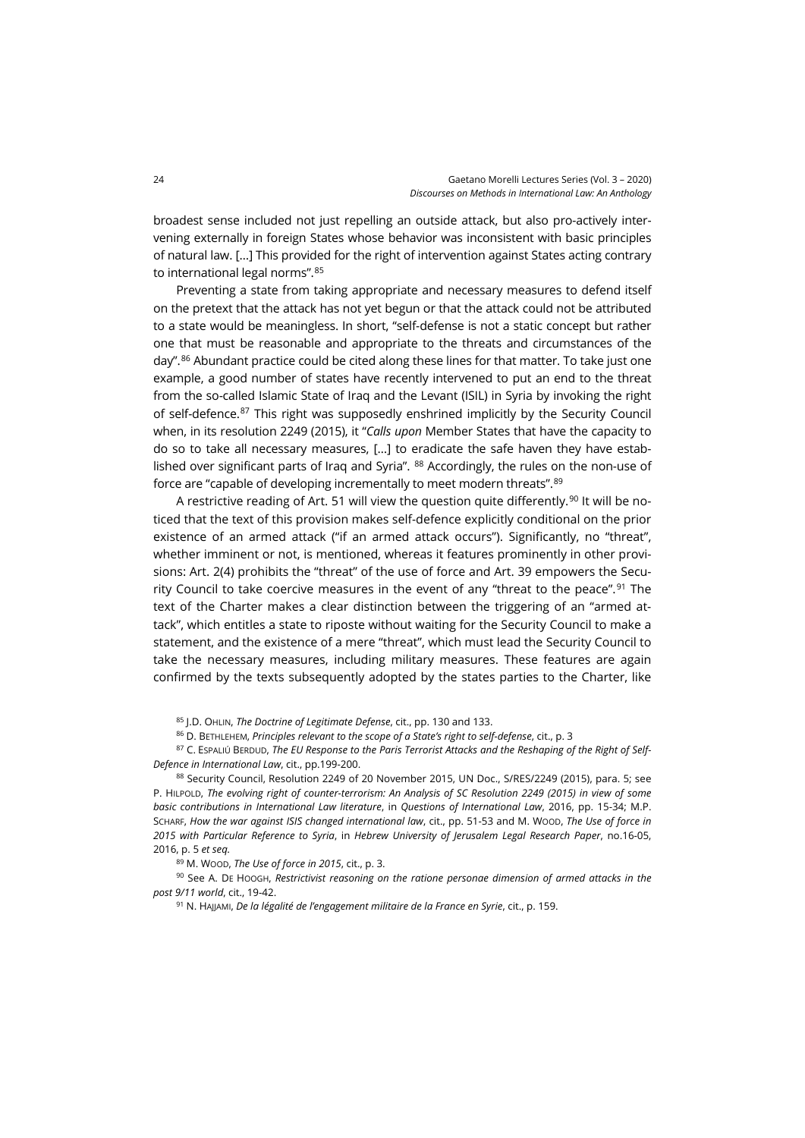broadest sense included not just repelling an outside attack, but also pro-actively intervening externally in foreign States whose behavior was inconsistent with basic principles of natural law. […] This provided for the right of intervention against States acting contrary to international legal norms".[85](#page-17-0)

Preventing a state from taking appropriate and necessary measures to defend itself on the pretext that the attack has not yet begun or that the attack could not be attributed to a state would be meaningless. In short, "self-defense is not a static concept but rather one that must be reasonable and appropriate to the threats and circumstances of the day".<sup>[86](#page-17-1)</sup> Abundant practice could be cited along these lines for that matter. To take just one example, a good number of states have recently intervened to put an end to the threat from the so-called Islamic State of Iraq and the Levant (ISIL) in Syria by invoking the right of self-defence.[87](#page-17-2) This right was supposedly enshrined implicitly by the Security Council when, in its resolution 2249 (2015), it "*Calls upon* Member States that have the capacity to do so to take all necessary measures, […] to eradicate the safe haven they have estab-lished over significant parts of Iraq and Syria". <sup>[88](#page-17-3)</sup> Accordingly, the rules on the non-use of force are "capable of developing incrementally to meet modern threats".[89](#page-17-4)

A restrictive reading of Art. 51 will view the question quite differently.<sup>[90](#page-17-5)</sup> It will be noticed that the text of this provision makes self-defence explicitly conditional on the prior existence of an armed attack ("if an armed attack occurs"). Significantly, no "threat", whether imminent or not, is mentioned, whereas it features prominently in other provisions: Art. 2(4) prohibits the "threat" of the use of force and Art. 39 empowers the Security Council to take coercive measures in the event of any "threat to the peace".[91](#page-17-6) The text of the Charter makes a clear distinction between the triggering of an "armed attack", which entitles a state to riposte without waiting for the Security Council to make a statement, and the existence of a mere "threat", which must lead the Security Council to take the necessary measures, including military measures. These features are again confirmed by the texts subsequently adopted by the states parties to the Charter, like

<sup>85</sup> J.D. OHLIN, *The Doctrine of Legitimate Defense*, cit., pp. 130 and 133.

<sup>86</sup> D. BETHLEHEM, *Principles relevant to the scope of a State's right to self-defense*, cit., p. 3

<span id="page-17-2"></span><span id="page-17-1"></span><span id="page-17-0"></span><sup>87</sup> C. ESPALIÚ BERDUD, *The EU Response to the Paris Terrorist Attacks and the Reshaping of the Right of Self-Defence in International Law*, cit., pp.199-200.

<span id="page-17-3"></span>88 Security Council, Resolution 2249 of 20 November 2015, UN Doc., S/RES/2249 (2015), para. 5; see P. HILPOLD, *The evolving right of counter-terrorism: An Analysis of SC Resolution 2249 (2015) in view of some basic contributions in International Law literature*, in *Questions of International Law*, 2016, pp. 15-34; M.P. SCHARF, *How the war against ISIS changed international law*, cit., pp. 51-53 and M. WOOD, *The Use of force in 2015 with Particular Reference to Syria*, in *Hebrew University of Jerusalem Legal Research Paper*, no.16-05, 2016, p. 5 *et seq.*

<sup>89</sup> M. WOOD, *The Use of force in 2015*, cit., p. 3.

<span id="page-17-6"></span><span id="page-17-5"></span><span id="page-17-4"></span><sup>90</sup> See A. DE HOOGH, *Restrictivist reasoning on the ratione personae dimension of armed attacks in the post 9/11 world*, cit., 19-42.

<sup>91</sup> N. HAJJAMI, *De la légalité de l'engagement militaire de la France en Syrie*, cit., p. 159.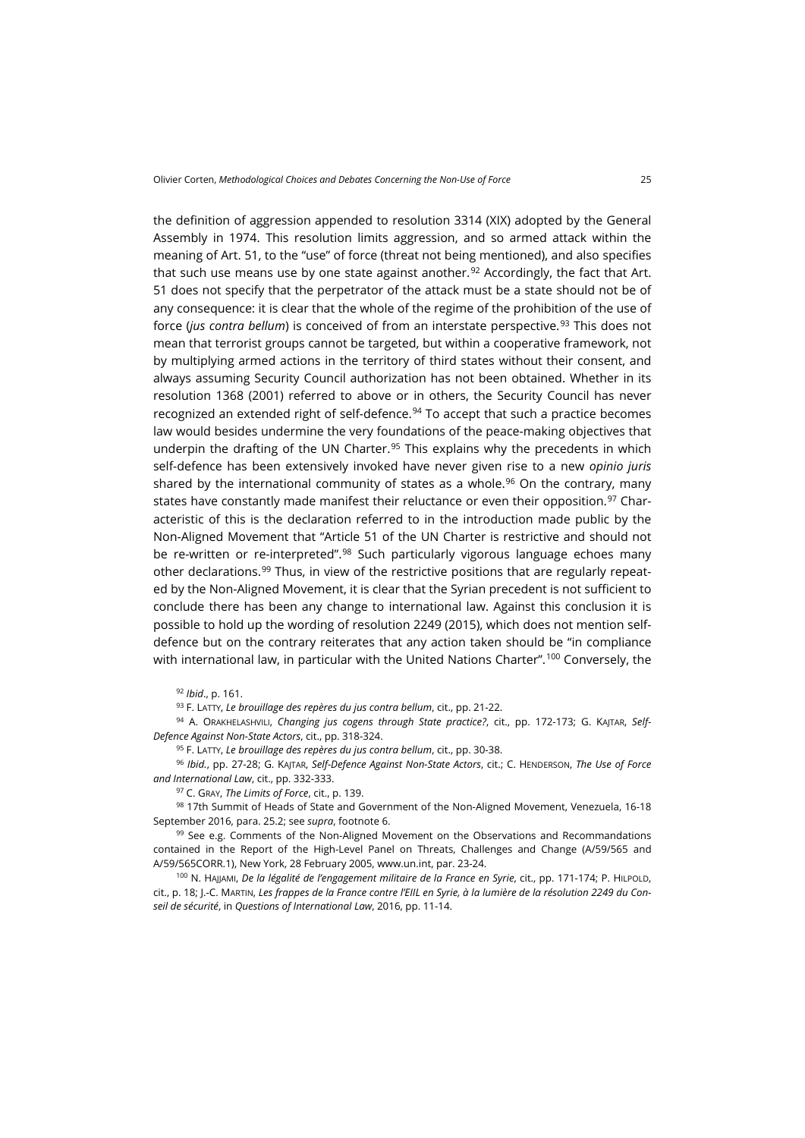the definition of aggression appended to resolution 3314 (XIX) adopted by the General Assembly in 1974. This resolution limits aggression, and so armed attack within the meaning of Art. 51, to the "use" of force (threat not being mentioned), and also specifies that such use means use by one state against another.<sup>[92](#page-18-0)</sup> Accordingly, the fact that Art. 51 does not specify that the perpetrator of the attack must be a state should not be of any consequence: it is clear that the whole of the regime of the prohibition of the use of force (*jus contra bellum*) is conceived of from an interstate perspective.[93](#page-18-1) This does not mean that terrorist groups cannot be targeted, but within a cooperative framework, not by multiplying armed actions in the territory of third states without their consent, and always assuming Security Council authorization has not been obtained. Whether in its resolution 1368 (2001) referred to above or in others, the Security Council has never recognized an extended right of self-defence.<sup>[94](#page-18-2)</sup> To accept that such a practice becomes law would besides undermine the very foundations of the peace-making objectives that underpin the drafting of the UN Charter. $95$  This explains why the precedents in which self-defence has been extensively invoked have never given rise to a new *opinio juris* shared by the international community of states as a whole.<sup>[96](#page-18-4)</sup> On the contrary, many states have constantly made manifest their reluctance or even their opposition.<sup>[97](#page-18-5)</sup> Characteristic of this is the declaration referred to in the introduction made public by the Non-Aligned Movement that "Article 51 of the UN Charter is restrictive and should not be re-written or re-interpreted".<sup>[98](#page-18-6)</sup> Such particularly vigorous language echoes many other declarations.[99](#page-18-7) Thus, in view of the restrictive positions that are regularly repeated by the Non-Aligned Movement, it is clear that the Syrian precedent is not sufficient to conclude there has been any change to international law. Against this conclusion it is possible to hold up the wording of resolution 2249 (2015), which does not mention selfdefence but on the contrary reiterates that any action taken should be "in compliance with international law, in particular with the United Nations Charter".<sup>[100](#page-18-8)</sup> Conversely, the

<sup>93</sup> F. LATTY, *Le brouillage des repères du jus contra bellum*, cit., pp. 21-22.

<span id="page-18-2"></span><span id="page-18-1"></span><span id="page-18-0"></span><sup>94</sup> A. ORAKHELASHVILI, *Changing jus cogens through State practice?*, cit., pp. 172-173; G. KAJTAR, *Self-Defence Against Non-State Actors*, cit., pp. 318-324.

<sup>95</sup> F. LATTY, *Le brouillage des repères du jus contra bellum*, cit., pp. 30-38.

<span id="page-18-4"></span><span id="page-18-3"></span><sup>96</sup> *Ibid.*, pp. 27-28; G. KAJTAR, *Self-Defence Against Non-State Actors*, cit.; C. HENDERSON, *The Use of Force and International Law*, cit., pp. 332-333.

<sup>97</sup> C. GRAY, *The Limits of Force*, cit., p. 139.

<span id="page-18-6"></span><span id="page-18-5"></span>98 17th Summit of Heads of State and Government of the Non-Aligned Movement, Venezuela, 16-18 September 2016, para. 25.2; see *supra*, footnote 6.

<span id="page-18-7"></span><sup>99</sup> See e.g. Comments of the Non-Aligned Movement on the Observations and Recommandations contained in the Report of the High-Level Panel on Threats, Challenges and Change (A/59/565 and A/59/565CORR.1), New York, 28 February 2005[, www.un.int,](http://www.un.int/malaysia/NAM/Positionpaper28025.doc) par. 23-24.

<span id="page-18-8"></span>100 N. HAJJAMI, De la légalité de l'engagement militaire de la France en Syrie, cit., pp. 171-174; P. HILPOLD, cit., p. 18; J.-C. MARTIN, *Les frappes de la France contre l'EIIL en Syrie, à la lumière de la résolution 2249 du Conseil de sécurité*, in *Questions of International Law*, 2016, pp. 11-14.

<sup>92</sup> *Ibid*., p. 161.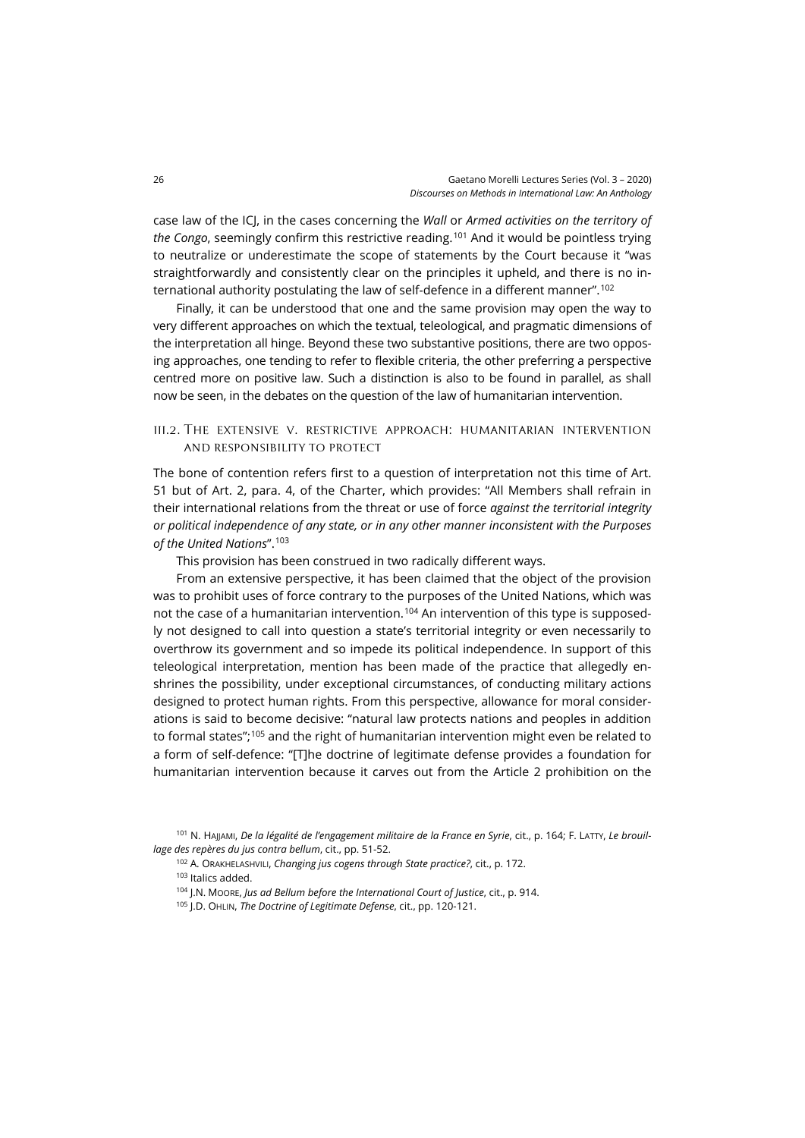case law of the ICJ, in the cases concerning the *Wall* or *Armed activities on the territory of the Congo*, seemingly confirm this restrictive reading.[101](#page-19-0) And it would be pointless trying to neutralize or underestimate the scope of statements by the Court because it "was straightforwardly and consistently clear on the principles it upheld, and there is no international authority postulating the law of self-defence in a different manner".[102](#page-19-1)

Finally, it can be understood that one and the same provision may open the way to very different approaches on which the textual, teleological, and pragmatic dimensions of the interpretation all hinge. Beyond these two substantive positions, there are two opposing approaches, one tending to refer to flexible criteria, the other preferring a perspective centred more on positive law. Such a distinction is also to be found in parallel, as shall now be seen, in the debates on the question of the law of humanitarian intervention.

### iii.2. The extensive v. restrictive approach: humanitarian intervention and responsibility to protect

The bone of contention refers first to a question of interpretation not this time of Art. 51 but of Art. 2, para. 4, of the Charter, which provides: "All Members shall refrain in their international relations from the threat or use of force *against the territorial integrity or political independence of any state, or in any other manner inconsistent with the Purposes of the United Nations*".[103](#page-19-2)

This provision has been construed in two radically different ways.

From an extensive perspective, it has been claimed that the object of the provision was to prohibit uses of force contrary to the purposes of the United Nations, which was not the case of a humanitarian intervention.<sup>[104](#page-19-3)</sup> An intervention of this type is supposedly not designed to call into question a state's territorial integrity or even necessarily to overthrow its government and so impede its political independence. In support of this teleological interpretation, mention has been made of the practice that allegedly enshrines the possibility, under exceptional circumstances, of conducting military actions designed to protect human rights. From this perspective, allowance for moral considerations is said to become decisive: "natural law protects nations and peoples in addition to formal states";<sup>[105](#page-19-4)</sup> and the right of humanitarian intervention might even be related to a form of self-defence: "[T]he doctrine of legitimate defense provides a foundation for humanitarian intervention because it carves out from the Article 2 prohibition on the

- <sup>102</sup> A. ORAKHELASHVILI, *Changing jus cogens through State practice?*, cit., p. 172.
- <sup>103</sup> Italics added.
- <sup>104</sup> J.N. MOORE, *Jus ad Bellum before the International Court of Justice*, cit., p. 914.
- <sup>105</sup> J.D. OHLIN, *The Doctrine of Legitimate Defense*, cit., pp. 120-121.

<span id="page-19-4"></span><span id="page-19-3"></span><span id="page-19-2"></span><span id="page-19-1"></span><span id="page-19-0"></span><sup>101</sup> N. HAJJAMI, *De la légalité de l'engagement militaire de la France en Syrie*, cit., p. 164; F. LATTY, *Le brouillage des repères du jus contra bellum*, cit., pp. 51-52.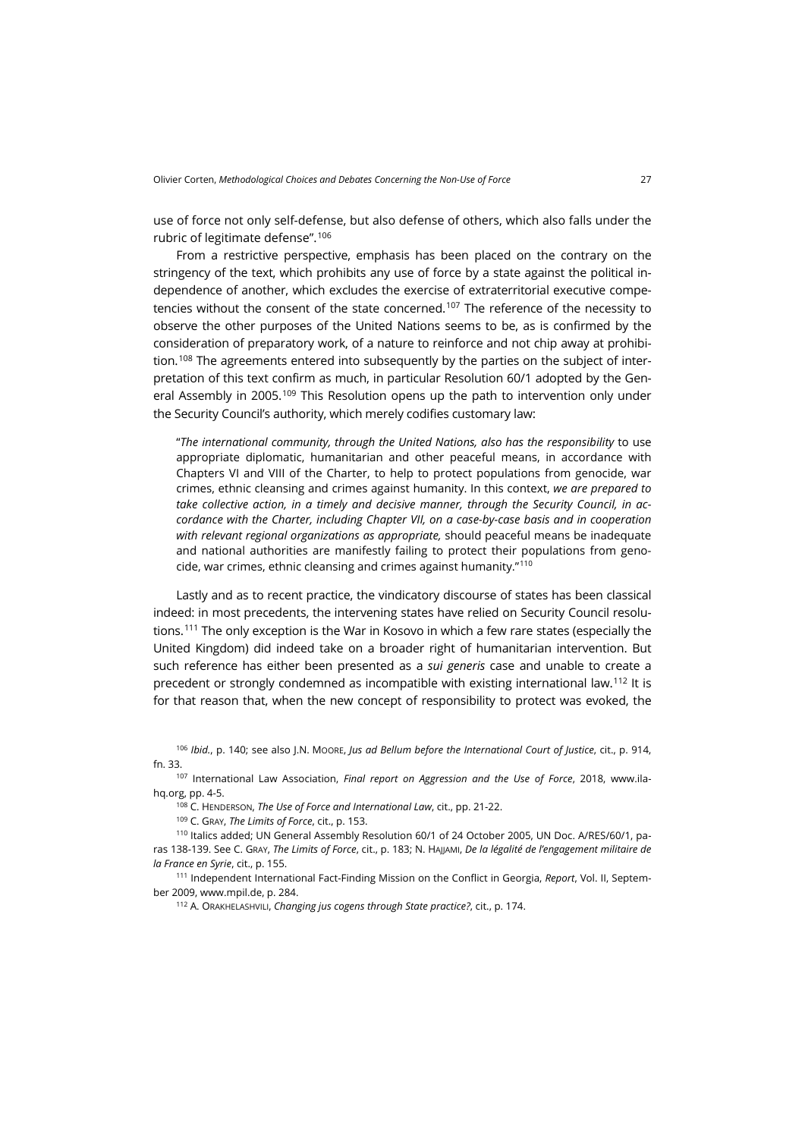use of force not only self-defense, but also defense of others, which also falls under the rubric of legitimate defense".[106](#page-20-0)

From a restrictive perspective, emphasis has been placed on the contrary on the stringency of the text, which prohibits any use of force by a state against the political independence of another, which excludes the exercise of extraterritorial executive competencies without the consent of the state concerned.<sup>107</sup> The reference of the necessity to observe the other purposes of the United Nations seems to be, as is confirmed by the consideration of preparatory work, of a nature to reinforce and not chip away at prohibi-tion.<sup>[108](#page-20-2)</sup> The agreements entered into subsequently by the parties on the subject of interpretation of this text confirm as much, in particular Resolution 60/1 adopted by the Gen-eral Assembly in 2005.<sup>[109](#page-20-3)</sup> This Resolution opens up the path to intervention only under the Security Council's authority, which merely codifies customary law:

"*The international community, through the United Nations, also has the responsibility* to use appropriate diplomatic, humanitarian and other peaceful means, in accordance with Chapters VI and VIII of the Charter, to help to protect populations from genocide, war crimes, ethnic cleansing and crimes against humanity. In this context, *we are prepared to take collective action, in a timely and decisive manner, through the Security Council, in accordance with the Charter, including Chapter VII, on a case-by-case basis and in cooperation with relevant regional organizations as appropriate,* should peaceful means be inadequate and national authorities are manifestly failing to protect their populations from genocide, war crimes, ethnic cleansing and crimes against humanity."[110](#page-20-4)

Lastly and as to recent practice, the vindicatory discourse of states has been classical indeed: in most precedents, the intervening states have relied on Security Council resolutions.[111](#page-20-5) The only exception is the War in Kosovo in which a few rare states (especially the United Kingdom) did indeed take on a broader right of humanitarian intervention. But such reference has either been presented as a *sui generis* case and unable to create a precedent or strongly condemned as incompatible with existing international law.<sup>[112](#page-20-6)</sup> It is for that reason that, when the new concept of responsibility to protect was evoked, the

<span id="page-20-0"></span><sup>106</sup> *Ibid.*, p. 140; see also J.N. MOORE, *Jus ad Bellum before the International Court of Justice*, cit., p. 914, fn. 33.

<span id="page-20-2"></span><span id="page-20-1"></span><sup>107</sup> International Law Association, *Final report on Aggression and the Use of Force*, 2018, [www.ila](http://www.ila-hq.org/images/ILA/DraftReports/DraftReport_UseOfForce.pdf)[hq.org,](http://www.ila-hq.org/images/ILA/DraftReports/DraftReport_UseOfForce.pdf) pp. 4-5.

<sup>108</sup> C. HENDERSON, *The Use of Force and International Law*, cit., pp. 21-22.

<sup>109</sup> C. GRAY, *The Limits of Force*, cit., p. 153.

<span id="page-20-4"></span><span id="page-20-3"></span><sup>110</sup> Italics added; UN General Assembly Resolution 60/1 of 24 October 2005, UN Doc. A/RES/60/1, paras 138-139. See C. GRAY, *The Limits of Force*, cit., p. 183; N. HAJJAMI, *De la légalité de l'engagement militaire de la France en Syrie*, cit., p. 155.

<span id="page-20-6"></span><span id="page-20-5"></span><sup>111</sup> Independent International Fact-Finding Mission on the Conflict in Georgia, *Report*, Vol. II, September 2009[, www.mpil.de,](https://www.mpil.de/files/pdf4/IIFFMCG_Volume_II1.pdf) p. 284.

<sup>112</sup> A. ORAKHELASHVILI, *Changing jus cogens through State practice?*, cit., p. 174.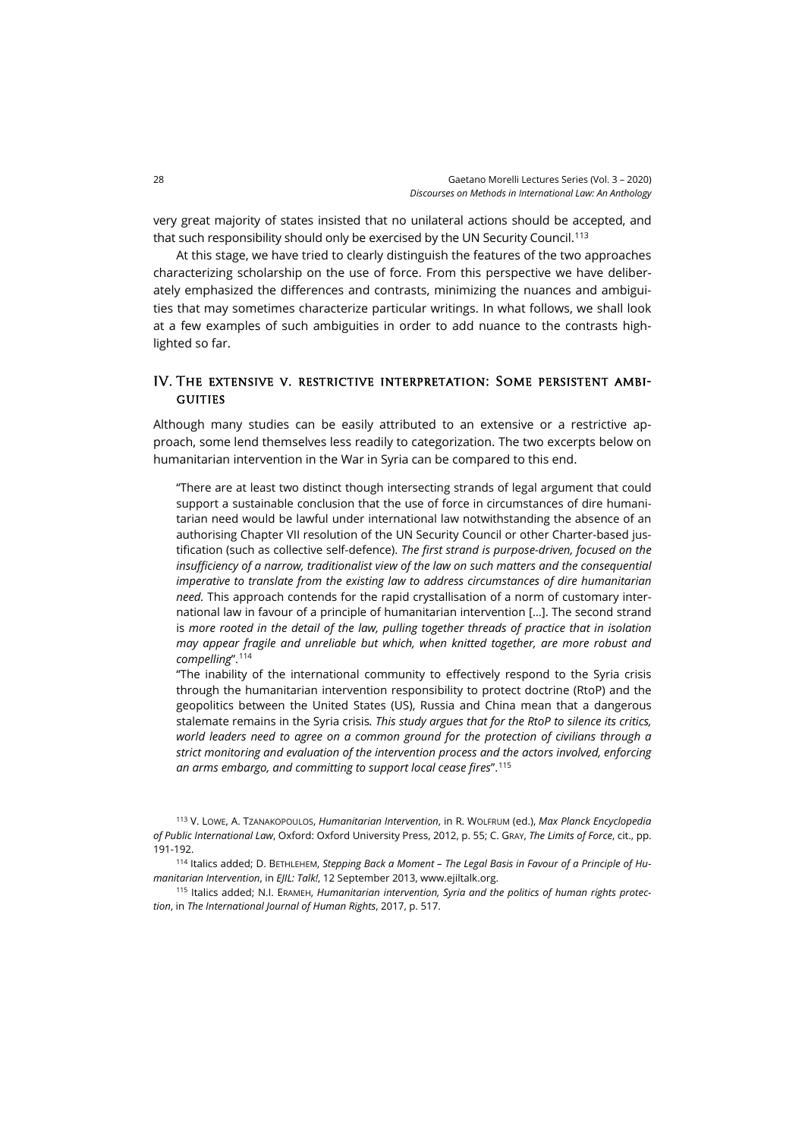very great majority of states insisted that no unilateral actions should be accepted, and that such responsibility should only be exercised by the UN Security Council.[113](#page-21-0)

At this stage, we have tried to clearly distinguish the features of the two approaches characterizing scholarship on the use of force. From this perspective we have deliberately emphasized the differences and contrasts, minimizing the nuances and ambiguities that may sometimes characterize particular writings. In what follows, we shall look at a few examples of such ambiguities in order to add nuance to the contrasts highlighted so far.

## IV. The extensive v. restrictive interpretation: Some persistent ambi-**GUITIES**

Although many studies can be easily attributed to an extensive or a restrictive approach, some lend themselves less readily to categorization. The two excerpts below on humanitarian intervention in the War in Syria can be compared to this end.

"There are at least two distinct though intersecting strands of legal argument that could support a sustainable conclusion that the use of force in circumstances of dire humanitarian need would be lawful under international law notwithstanding the absence of an authorising Chapter VII resolution of the UN Security Council or other Charter-based justification (such as collective self-defence). *The first strand is purpose-driven, focused on the insufficiency of a narrow, traditionalist view of the law on such matters and the consequential imperative to translate from the existing law to address circumstances of dire humanitarian need.* This approach contends for the rapid crystallisation of a norm of customary international law in favour of a principle of humanitarian intervention […]. The second strand is more rooted in the detail of the law, pulling together threads of practice that in *isolation may appear fragile and unreliable but which, when knitted together, are more robust and compelling*". [114](#page-21-1)

"The inability of the international community to effectively respond to the Syria crisis through the humanitarian intervention responsibility to protect doctrine (RtoP) and the geopolitics between the United States (US), Russia and China mean that a dangerous stalemate remains in the Syria crisis*. This study argues that for the RtoP to silence its critics, world leaders need to agree on a common ground for the protection of civilians through a strict monitoring and evaluation of the intervention process and the actors involved, enforcing an arms embargo, and committing to support local cease fires*". [115](#page-21-2)

<span id="page-21-0"></span><sup>113</sup> V. LOWE, A. TZANAKOPOULOS, *Humanitarian Intervention*, in R. WOLFRUM (ed.), *Max Planck Encyclopedia of Public International Law*, Oxford: Oxford University Press, 2012, p. 55; C. GRAY, *The Limits of Force*, cit., pp. 191-192.

<span id="page-21-1"></span><sup>114</sup> Italics added; D. BETHLEHEM, *Stepping Back a Moment – The Legal Basis in Favour of a Principle of Humanitarian Intervention*, in *EJIL: Talk!*, 12 September 2013[, www.ejiltalk.org.](https://www.ejiltalk.org/stepping-back-a-moment-the-legal-basis-in-favour-of-a-principle-of-humanitarian-intervention/)

<span id="page-21-2"></span><sup>115</sup> Italics added; N.I. ERAMEH, *Humanitarian intervention, Syria and the politics of human rights protection*, in *The International Journal of Human Rights*, 2017, p. 517.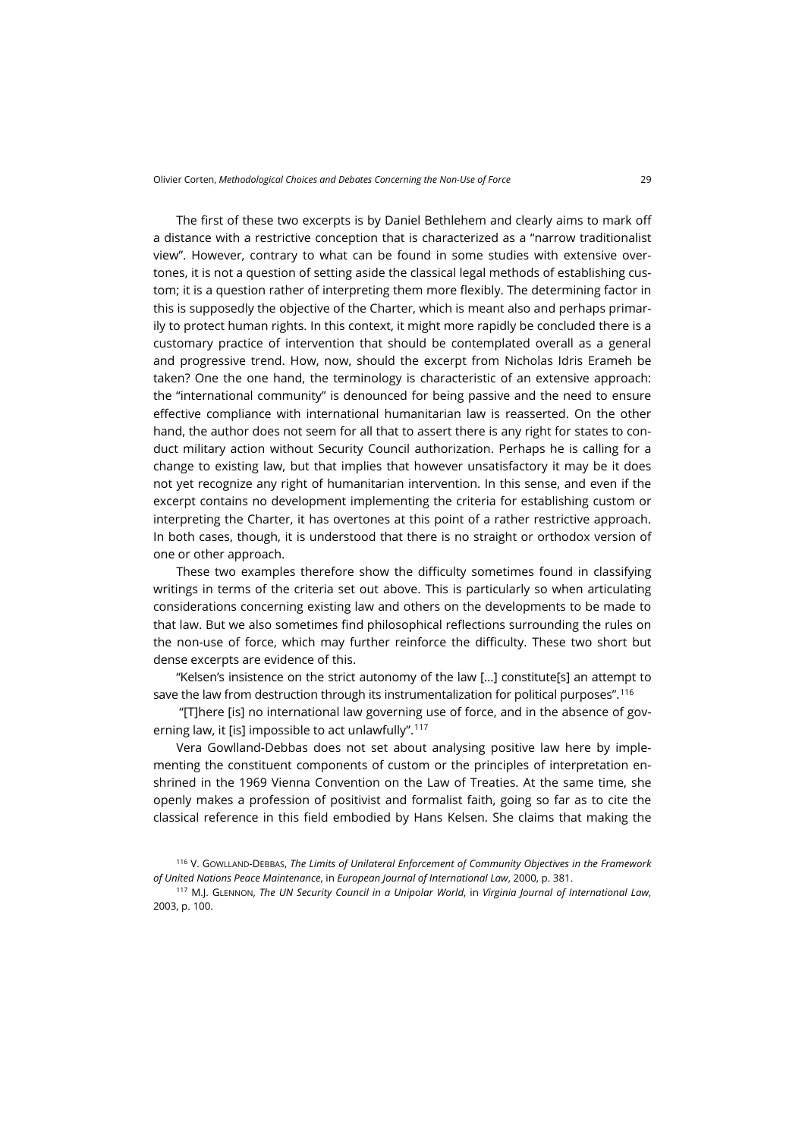The first of these two excerpts is by Daniel Bethlehem and clearly aims to mark off a distance with a restrictive conception that is characterized as a "narrow traditionalist view". However, contrary to what can be found in some studies with extensive overtones, it is not a question of setting aside the classical legal methods of establishing custom; it is a question rather of interpreting them more flexibly. The determining factor in this is supposedly the objective of the Charter, which is meant also and perhaps primarily to protect human rights. In this context, it might more rapidly be concluded there is a customary practice of intervention that should be contemplated overall as a general and progressive trend. How, now, should the excerpt from Nicholas Idris Erameh be taken? One the one hand, the terminology is characteristic of an extensive approach: the "international community" is denounced for being passive and the need to ensure effective compliance with international humanitarian law is reasserted. On the other hand, the author does not seem for all that to assert there is any right for states to conduct military action without Security Council authorization. Perhaps he is calling for a change to existing law, but that implies that however unsatisfactory it may be it does not yet recognize any right of humanitarian intervention. In this sense, and even if the excerpt contains no development implementing the criteria for establishing custom or interpreting the Charter, it has overtones at this point of a rather restrictive approach. In both cases, though, it is understood that there is no straight or orthodox version of one or other approach.

These two examples therefore show the difficulty sometimes found in classifying writings in terms of the criteria set out above. This is particularly so when articulating considerations concerning existing law and others on the developments to be made to that law. But we also sometimes find philosophical reflections surrounding the rules on the non-use of force, which may further reinforce the difficulty. These two short but dense excerpts are evidence of this.

"Kelsen's insistence on the strict autonomy of the law […] constitute[s] an attempt to save the law from destruction through its instrumentalization for political purposes".[116](#page-22-0)

"[T]here [is] no international law governing use of force, and in the absence of gov-erning law, it [is] impossible to act unlawfully".<sup>[117](#page-22-1)</sup>

Vera Gowlland-Debbas does not set about analysing positive law here by implementing the constituent components of custom or the principles of interpretation enshrined in the 1969 Vienna Convention on the Law of Treaties. At the same time, she openly makes a profession of positivist and formalist faith, going so far as to cite the classical reference in this field embodied by Hans Kelsen. She claims that making the

<span id="page-22-0"></span><sup>116</sup> V. GOWLLAND-DEBBAS, *The Limits of Unilateral Enforcement of Community Objectives in the Framework of United Nations Peace Maintenance*, in *European Journal of International Law*, 2000, p. 381.

<span id="page-22-1"></span><sup>117</sup> M.J. GLENNON, *The UN Security Council in a Unipolar World*, in *Virginia Journal of International Law*, 2003, p. 100.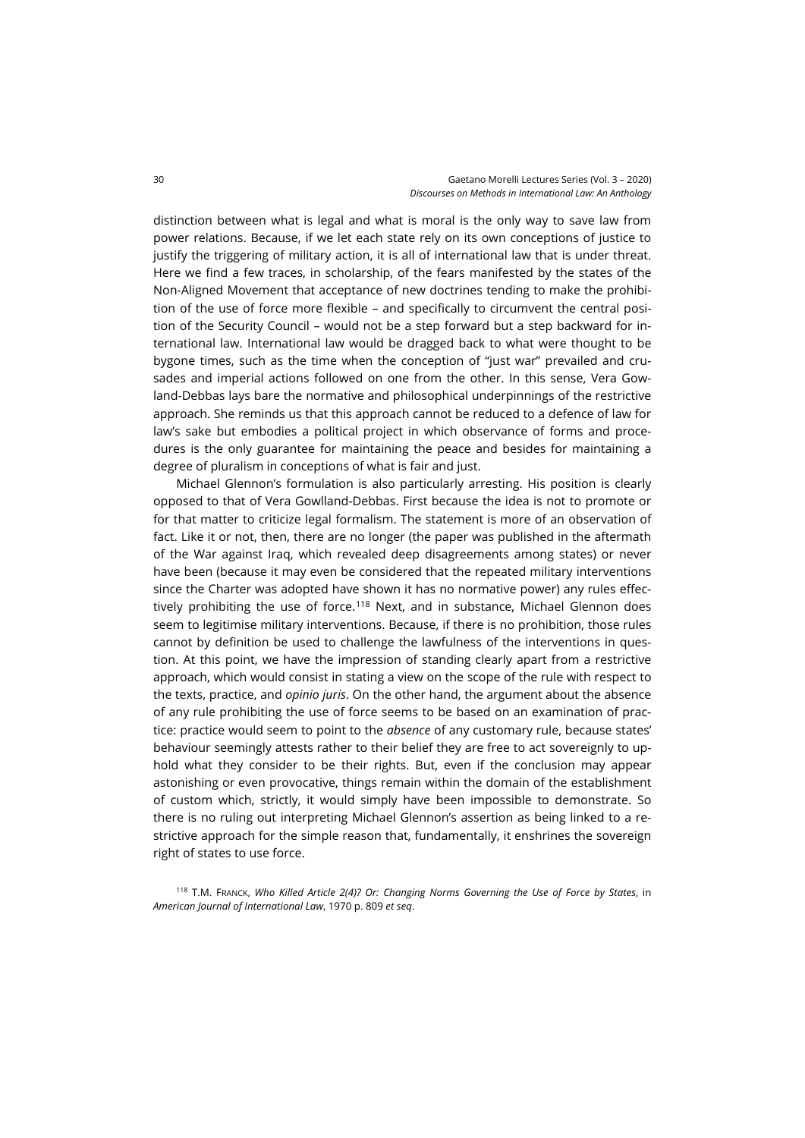distinction between what is legal and what is moral is the only way to save law from power relations. Because, if we let each state rely on its own conceptions of justice to justify the triggering of military action, it is all of international law that is under threat. Here we find a few traces, in scholarship, of the fears manifested by the states of the Non-Aligned Movement that acceptance of new doctrines tending to make the prohibition of the use of force more flexible – and specifically to circumvent the central position of the Security Council – would not be a step forward but a step backward for international law. International law would be dragged back to what were thought to be bygone times, such as the time when the conception of "just war" prevailed and crusades and imperial actions followed on one from the other. In this sense, Vera Gowland-Debbas lays bare the normative and philosophical underpinnings of the restrictive approach. She reminds us that this approach cannot be reduced to a defence of law for law's sake but embodies a political project in which observance of forms and procedures is the only guarantee for maintaining the peace and besides for maintaining a degree of pluralism in conceptions of what is fair and just.

Michael Glennon's formulation is also particularly arresting. His position is clearly opposed to that of Vera Gowlland-Debbas. First because the idea is not to promote or for that matter to criticize legal formalism. The statement is more of an observation of fact. Like it or not, then, there are no longer (the paper was published in the aftermath of the War against Iraq, which revealed deep disagreements among states) or never have been (because it may even be considered that the repeated military interventions since the Charter was adopted have shown it has no normative power) any rules effec-tively prohibiting the use of force.<sup>[118](#page-23-0)</sup> Next, and in substance, Michael Glennon does seem to legitimise military interventions. Because, if there is no prohibition, those rules cannot by definition be used to challenge the lawfulness of the interventions in question. At this point, we have the impression of standing clearly apart from a restrictive approach, which would consist in stating a view on the scope of the rule with respect to the texts, practice, and *opinio juris*. On the other hand, the argument about the absence of any rule prohibiting the use of force seems to be based on an examination of practice: practice would seem to point to the *absence* of any customary rule, because states' behaviour seemingly attests rather to their belief they are free to act sovereignly to uphold what they consider to be their rights. But, even if the conclusion may appear astonishing or even provocative, things remain within the domain of the establishment of custom which, strictly, it would simply have been impossible to demonstrate. So there is no ruling out interpreting Michael Glennon's assertion as being linked to a restrictive approach for the simple reason that, fundamentally, it enshrines the sovereign right of states to use force.

<span id="page-23-0"></span><sup>118</sup> T.M. FRANCK, *Who Killed Article 2(4)? Or: Changing Norms Governing the Use of Force by States*, in *American Journal of International Law*, 1970 p. 809 *et seq*.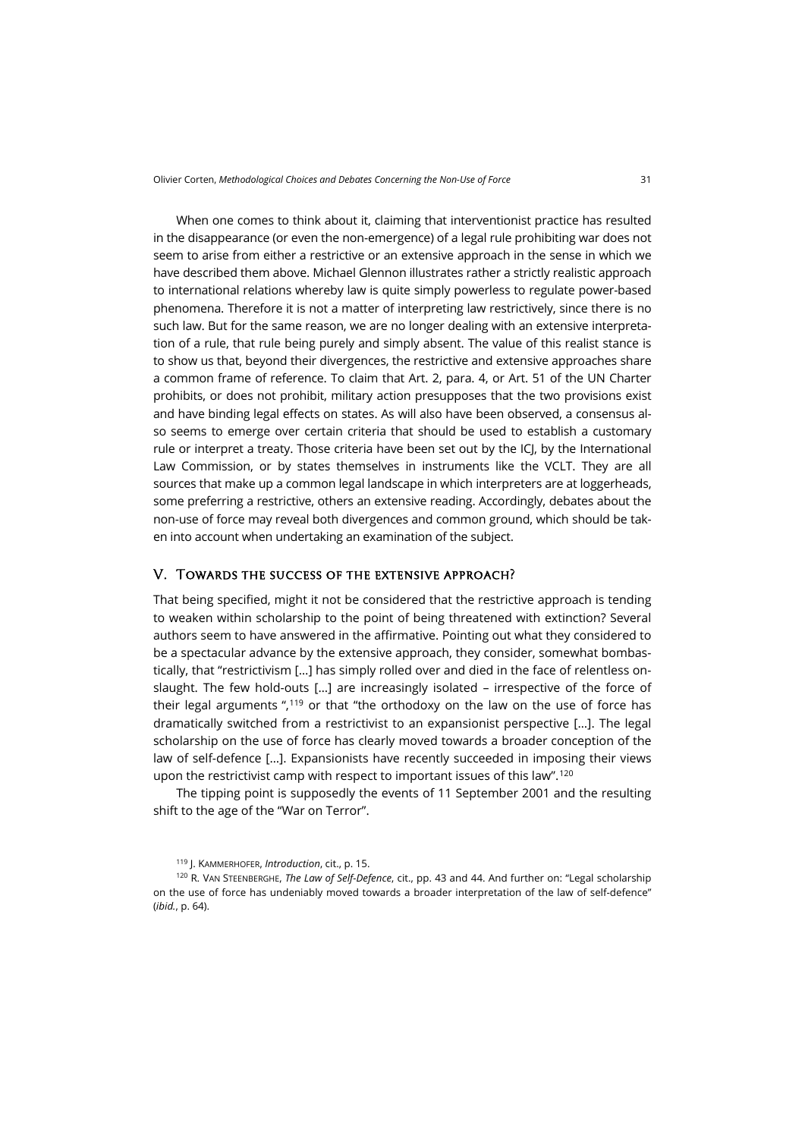When one comes to think about it, claiming that interventionist practice has resulted in the disappearance (or even the non-emergence) of a legal rule prohibiting war does not seem to arise from either a restrictive or an extensive approach in the sense in which we have described them above. Michael Glennon illustrates rather a strictly realistic approach to international relations whereby law is quite simply powerless to regulate power-based phenomena. Therefore it is not a matter of interpreting law restrictively, since there is no such law. But for the same reason, we are no longer dealing with an extensive interpretation of a rule, that rule being purely and simply absent. The value of this realist stance is to show us that, beyond their divergences, the restrictive and extensive approaches share a common frame of reference. To claim that Art. 2, para. 4, or Art. 51 of the UN Charter prohibits, or does not prohibit, military action presupposes that the two provisions exist and have binding legal effects on states. As will also have been observed, a consensus also seems to emerge over certain criteria that should be used to establish a customary rule or interpret a treaty. Those criteria have been set out by the ICJ, by the International Law Commission, or by states themselves in instruments like the VCLT. They are all sources that make up a common legal landscape in which interpreters are at loggerheads, some preferring a restrictive, others an extensive reading. Accordingly, debates about the non-use of force may reveal both divergences and common ground, which should be taken into account when undertaking an examination of the subject.

#### V. Towards the success of the extensive approach?

That being specified, might it not be considered that the restrictive approach is tending to weaken within scholarship to the point of being threatened with extinction? Several authors seem to have answered in the affirmative. Pointing out what they considered to be a spectacular advance by the extensive approach, they consider, somewhat bombastically, that "restrictivism […] has simply rolled over and died in the face of relentless onslaught. The few hold-outs […] are increasingly isolated – irrespective of the force of their legal arguments ",<sup>[119](#page-24-0)</sup> or that "the orthodoxy on the law on the use of force has dramatically switched from a restrictivist to an expansionist perspective […]. The legal scholarship on the use of force has clearly moved towards a broader conception of the law of self-defence […]. Expansionists have recently succeeded in imposing their views upon the restrictivist camp with respect to important issues of this law".[120](#page-24-1)

The tipping point is supposedly the events of 11 September 2001 and the resulting shift to the age of the "War on Terror".

<sup>119</sup> J. KAMMERHOFER, *Introduction*, cit., p. 15.

<span id="page-24-1"></span><span id="page-24-0"></span><sup>120</sup> R. VAN STEENBERGHE, *The Law of Self-Defence*, cit., pp. 43 and 44. And further on: "Legal scholarship on the use of force has undeniably moved towards a broader interpretation of the law of self-defence" (*ibid.*, p. 64).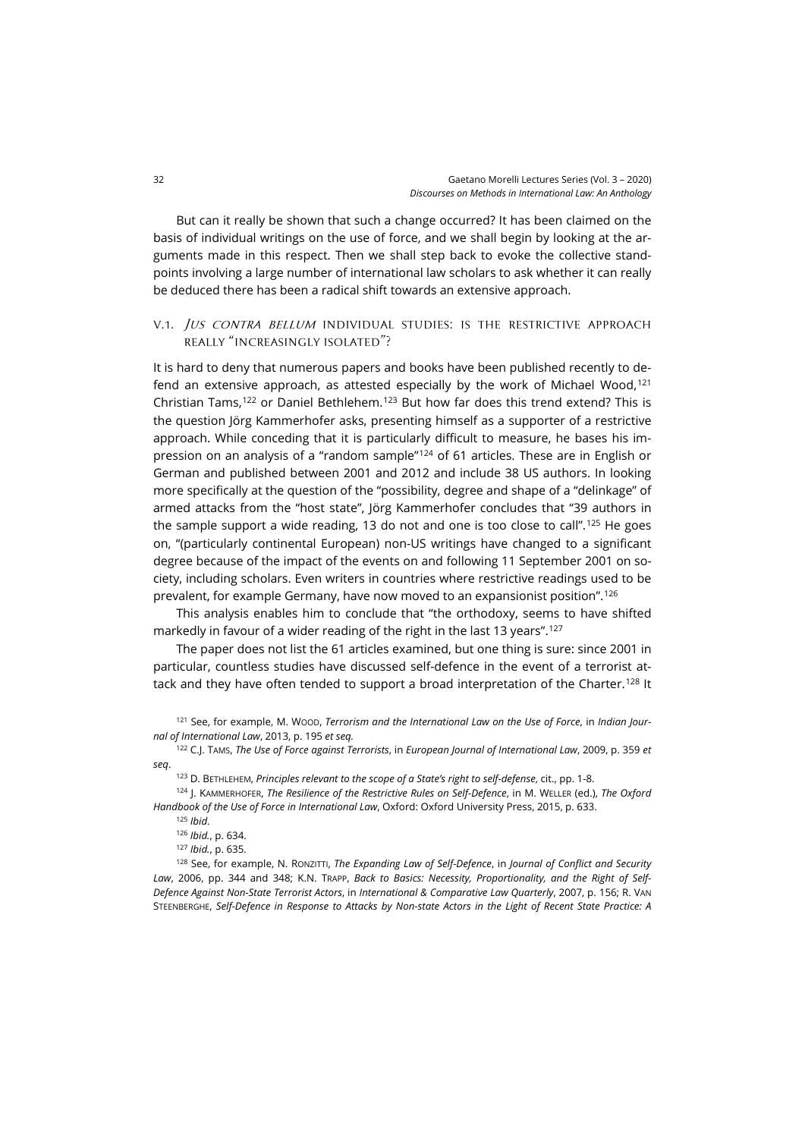But can it really be shown that such a change occurred? It has been claimed on the basis of individual writings on the use of force, and we shall begin by looking at the arguments made in this respect. Then we shall step back to evoke the collective standpoints involving a large number of international law scholars to ask whether it can really be deduced there has been a radical shift towards an extensive approach.

## V.1. JUS CONTRA BELLUM INDIVIDUAL STUDIES: IS THE RESTRICTIVE APPROACH really "increasingly isolated"?

It is hard to deny that numerous papers and books have been published recently to de-fend an extensive approach, as attested especially by the work of Michael Wood,<sup>[121](#page-25-0)</sup> Christian Tams,<sup>[122](#page-25-1)</sup> or Daniel Bethlehem.<sup>[123](#page-25-2)</sup> But how far does this trend extend? This is the question Jörg Kammerhofer asks, presenting himself as a supporter of a restrictive approach. While conceding that it is particularly difficult to measure, he bases his im-pression on an analysis of a "random sample"<sup>[124](#page-25-3)</sup> of 61 articles. These are in English or German and published between 2001 and 2012 and include 38 US authors. In looking more specifically at the question of the "possibility, degree and shape of a "delinkage" of armed attacks from the "host state", Jörg Kammerhofer concludes that "39 authors in the sample support a wide reading, 13 do not and one is too close to call".[125](#page-25-4) He goes on, "(particularly continental European) non-US writings have changed to a significant degree because of the impact of the events on and following 11 September 2001 on society, including scholars. Even writers in countries where restrictive readings used to be prevalent, for example Germany, have now moved to an expansionist position".[126](#page-25-5)

This analysis enables him to conclude that "the orthodoxy, seems to have shifted markedly in favour of a wider reading of the right in the last 13 years".<sup>[127](#page-25-6)</sup>

The paper does not list the 61 articles examined, but one thing is sure: since 2001 in particular, countless studies have discussed self-defence in the event of a terrorist at-tack and they have often tended to support a broad interpretation of the Charter.<sup>[128](#page-25-7)</sup> It

<span id="page-25-0"></span><sup>121</sup> See, for example, M. WOOD, *Terrorism and the International Law on the Use of Force*, in *Indian Journal of International Law*, 2013, p. 195 *et seq.*

<span id="page-25-1"></span><sup>122</sup> C.J. TAMS, *The Use of Force against Terrorists*, in *European Journal of International Law*, 2009, p. 359 *et seq*.

<sup>123</sup> D. BETHLEHEM, *Principles relevant to the scope of a State's right to self-defense*, cit., pp. 1-8.

<span id="page-25-4"></span><span id="page-25-3"></span><span id="page-25-2"></span><sup>124</sup> J. KAMMERHOFER, *The Resilience of the Restrictive Rules on Self-Defence*, in M. WELLER (ed.), *The Oxford Handbook of the Use of Force in International Law*, Oxford: Oxford University Press, 2015, p. 633.

<sup>125</sup> *Ibid*.

<sup>126</sup> *Ibid.*, p. 634.

<sup>127</sup> *Ibid.*, p. 635.

<span id="page-25-7"></span><span id="page-25-6"></span><span id="page-25-5"></span><sup>128</sup> See, for example, N. RONZITTI, *The Expanding Law of Self-Defence*, in *Journal of Conflict and Security Law*, 2006, pp. 344 and 348; K.N. TRAPP, *Back to Basics: Necessity, Proportionality, and the Right of Self-Defence Against Non-State Terrorist Actors*, in *International & Comparative Law Quarterly*, 2007, p. 156; R. VAN STEENBERGHE, *Self-Defence in Response to Attacks by Non-state Actors in the Light of Recent State Practice: A*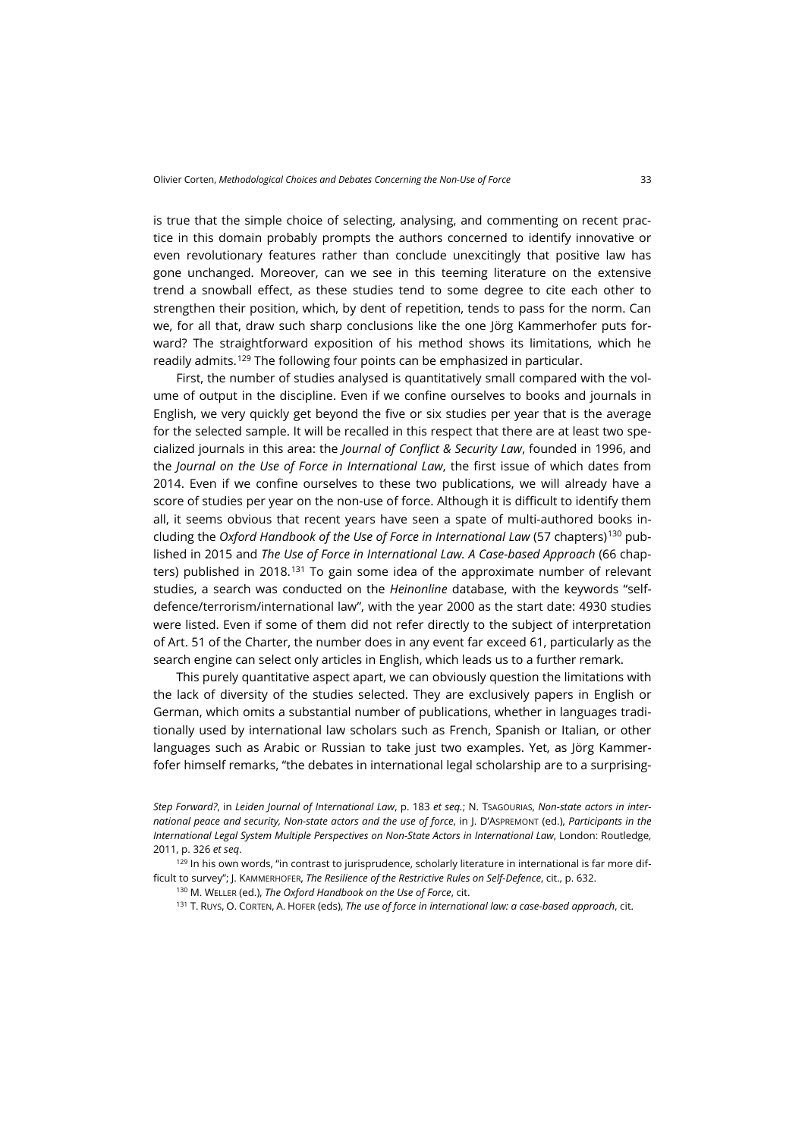is true that the simple choice of selecting, analysing, and commenting on recent practice in this domain probably prompts the authors concerned to identify innovative or even revolutionary features rather than conclude unexcitingly that positive law has gone unchanged. Moreover, can we see in this teeming literature on the extensive trend a snowball effect, as these studies tend to some degree to cite each other to strengthen their position, which, by dent of repetition, tends to pass for the norm. Can we, for all that, draw such sharp conclusions like the one Jörg Kammerhofer puts forward? The straightforward exposition of his method shows its limitations, which he readily admits.<sup>[129](#page-26-0)</sup> The following four points can be emphasized in particular.

First, the number of studies analysed is quantitatively small compared with the volume of output in the discipline. Even if we confine ourselves to books and journals in English, we very quickly get beyond the five or six studies per year that is the average for the selected sample. It will be recalled in this respect that there are at least two specialized journals in this area: the *Journal of Conflict & Security Law*, founded in 1996, and the *Journal on the Use of Force in International Law*, the first issue of which dates from 2014. Even if we confine ourselves to these two publications, we will already have a score of studies per year on the non-use of force. Although it is difficult to identify them all, it seems obvious that recent years have seen a spate of multi-authored books including the *Oxford Handbook of the Use of Force in International Law* (57 chapters)[130](#page-26-1) published in 2015 and *The Use of Force in International Law. A Case-based Approach* (66 chapters) published in 2018.[131](#page-26-2) To gain some idea of the approximate number of relevant studies, a search was conducted on the *Heinonline* database, with the keywords "selfdefence/terrorism/international law", with the year 2000 as the start date: 4930 studies were listed. Even if some of them did not refer directly to the subject of interpretation of Art. 51 of the Charter, the number does in any event far exceed 61, particularly as the search engine can select only articles in English, which leads us to a further remark.

This purely quantitative aspect apart, we can obviously question the limitations with the lack of diversity of the studies selected. They are exclusively papers in English or German, which omits a substantial number of publications, whether in languages traditionally used by international law scholars such as French, Spanish or Italian, or other languages such as Arabic or Russian to take just two examples. Yet, as Jörg Kammerfofer himself remarks, "the debates in international legal scholarship are to a surprising-

*Step Forward?*, in *Leiden Journal of International Law*, p. 183 *et seq.*; N. TSAGOURIAS, *Non-state actors in international peace and security, Non-state actors and the use of force*, in J. D'ASPREMONT (ed.), *Participants in the International Legal System Multiple Perspectives on Non-State Actors in International Law*, London: Routledge, 2011, p. 326 *et seq*.

<span id="page-26-2"></span><span id="page-26-1"></span><span id="page-26-0"></span>129 In his own words, "in contrast to jurisprudence, scholarly literature in international is far more difficult to survey"; J. KAMMERHOFER, *The Resilience of the Restrictive Rules on Self-Defence*, cit., p. 632.

<sup>130</sup> M. WELLER (ed.), *The Oxford Handbook on the Use of Force*, cit.

<sup>131</sup> T. RUYS, O. CORTEN, A. HOFER (eds), *The use of force in international law: a case-based approach*, cit.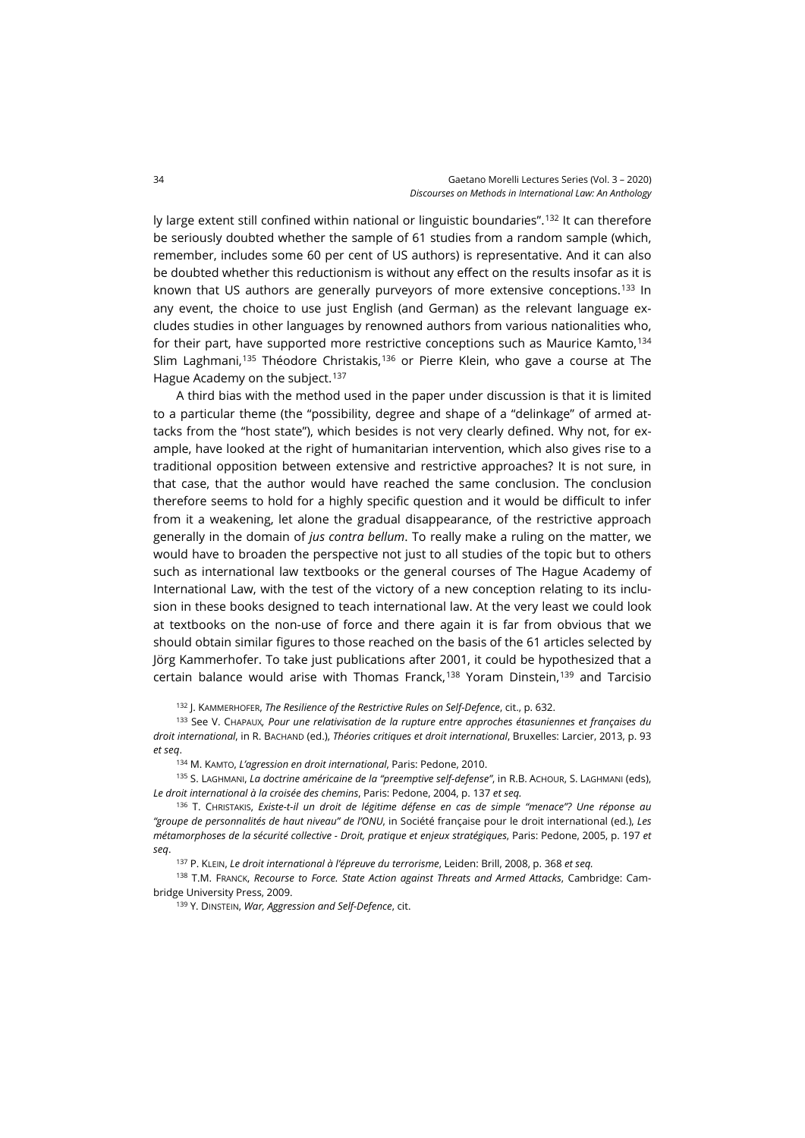ly large extent still confined within national or linguistic boundaries".[132](#page-27-0) It can therefore be seriously doubted whether the sample of 61 studies from a random sample (which, remember, includes some 60 per cent of US authors) is representative. And it can also be doubted whether this reductionism is without any effect on the results insofar as it is known that US authors are generally purveyors of more extensive conceptions.[133](#page-27-1) In any event, the choice to use just English (and German) as the relevant language excludes studies in other languages by renowned authors from various nationalities who, for their part, have supported more restrictive conceptions such as Maurice Kamto,  $134$ Slim Laghmani,<sup>[135](#page-27-3)</sup> Théodore Christakis,<sup>[136](#page-27-4)</sup> or Pierre Klein, who gave a course at The Hague Academy on the subject.<sup>[137](#page-27-5)</sup>

A third bias with the method used in the paper under discussion is that it is limited to a particular theme (the "possibility, degree and shape of a "delinkage" of armed attacks from the "host state"), which besides is not very clearly defined. Why not, for example, have looked at the right of humanitarian intervention, which also gives rise to a traditional opposition between extensive and restrictive approaches? It is not sure, in that case, that the author would have reached the same conclusion. The conclusion therefore seems to hold for a highly specific question and it would be difficult to infer from it a weakening, let alone the gradual disappearance, of the restrictive approach generally in the domain of *jus contra bellum*. To really make a ruling on the matter, we would have to broaden the perspective not just to all studies of the topic but to others such as international law textbooks or the general courses of The Hague Academy of International Law, with the test of the victory of a new conception relating to its inclusion in these books designed to teach international law. At the very least we could look at textbooks on the non-use of force and there again it is far from obvious that we should obtain similar figures to those reached on the basis of the 61 articles selected by Jörg Kammerhofer. To take just publications after 2001, it could be hypothesized that a certain balance would arise with Thomas Franck, $138$  Yoram Dinstein, $139$  and Tarcisio

<sup>132</sup> J. KAMMERHOFER, *The Resilience of the Restrictive Rules on Self-Defence*, cit., p. 632.

<span id="page-27-1"></span><span id="page-27-0"></span><sup>133</sup> See V. CHAPAUX*, Pour une relativisation de la rupture entre approches étasuniennes et françaises du droit international*, in R. BACHAND (ed.), *Théories critiques et droit international*, Bruxelles: Larcier, 2013, p. 93 *et seq*.

<sup>134</sup> M. KAMTO, *L'agression en droit international*, Paris: Pedone, 2010.

<span id="page-27-3"></span><span id="page-27-2"></span><sup>135</sup> S. LAGHMANI, *La doctrine américaine de la "preemptive self-defense"*, in R.B. ACHOUR, S. LAGHMANI (eds), *Le droit international à la croisée des chemins*, Paris: Pedone, 2004, p. 137 *et seq.*

<span id="page-27-4"></span><sup>136</sup> T. CHRISTAKIS, *Existe-t-il un droit de légitime défense en cas de simple "menace"? Une réponse au "groupe de personnalités de haut niveau" de l'ONU*, in Société française pour le droit international (ed.), *Les métamorphoses de la sécurité collective - Droit, pratique et enjeux stratégiques*, Paris: Pedone, 2005, p. 197 *et seq*.

<sup>137</sup> P. KLEIN, *Le droit international à l'épreuve du terrorisme*, Leiden: Brill, 2008, p. 368 *et seq.*

<span id="page-27-7"></span><span id="page-27-6"></span><span id="page-27-5"></span><sup>138</sup> T.M. FRANCK, *Recourse to Force. State Action against Threats and Armed Attacks*, Cambridge: Cambridge University Press, 2009.

<sup>139</sup> Y. DINSTEIN, *War, Aggression and Self-Defence*, cit.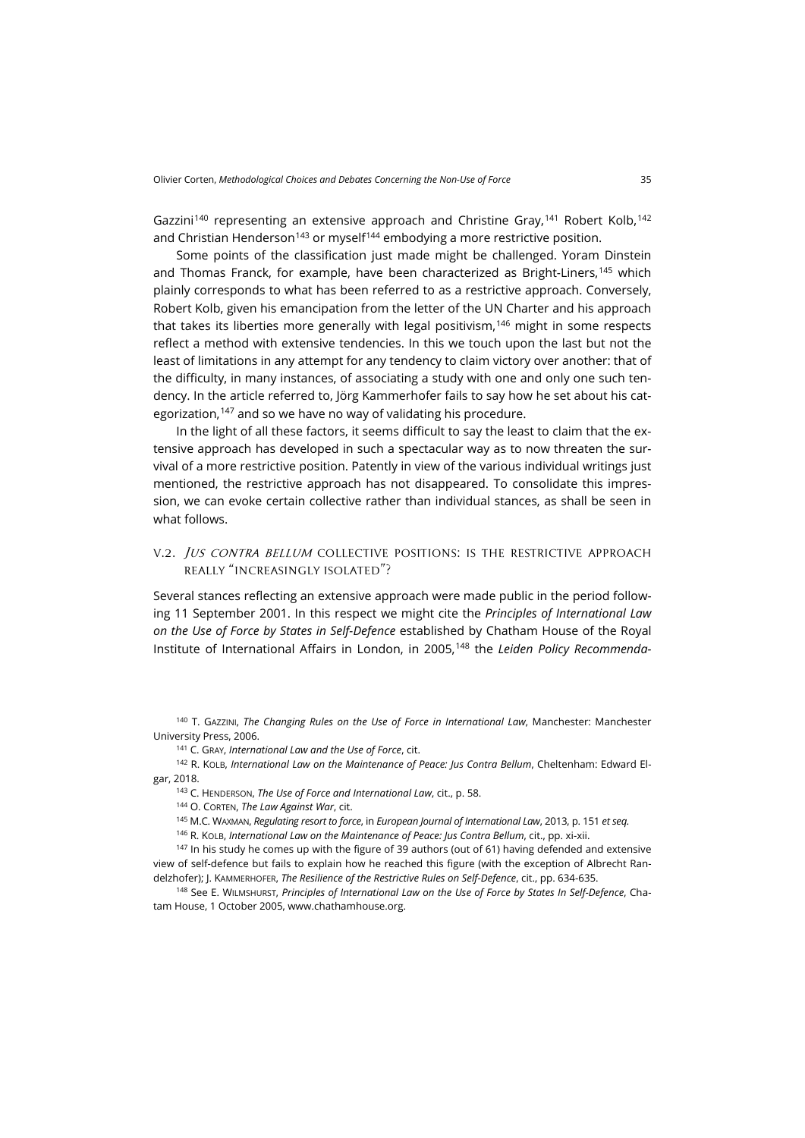Gazzini<sup>[140](#page-28-0)</sup> representing an extensive approach and Christine Gray,<sup>[141](#page-28-1)</sup> Robert Kolb,<sup>[142](#page-28-2)</sup> and Christian Henderson<sup>[143](#page-28-3)</sup> or myself<sup>[144](#page-28-4)</sup> embodying a more restrictive position.

Some points of the classification just made might be challenged. Yoram Dinstein and Thomas Franck, for example, have been characterized as Bright-Liners,[145](#page-28-5) which plainly corresponds to what has been referred to as a restrictive approach. Conversely, Robert Kolb, given his emancipation from the letter of the UN Charter and his approach that takes its liberties more generally with legal positivism,<sup>[146](#page-28-6)</sup> might in some respects reflect a method with extensive tendencies. In this we touch upon the last but not the least of limitations in any attempt for any tendency to claim victory over another: that of the difficulty, in many instances, of associating a study with one and only one such tendency. In the article referred to, Jörg Kammerhofer fails to say how he set about his cat-egorization,<sup>[147](#page-28-7)</sup> and so we have no way of validating his procedure.

In the light of all these factors, it seems difficult to say the least to claim that the extensive approach has developed in such a spectacular way as to now threaten the survival of a more restrictive position. Patently in view of the various individual writings just mentioned, the restrictive approach has not disappeared. To consolidate this impression, we can evoke certain collective rather than individual stances, as shall be seen in what follows.

## v.2. Jus contra bellum collective positions: is the restrictive approach really "increasingly isolated"?

Several stances reflecting an extensive approach were made public in the period following 11 September 2001. In this respect we might cite the *Principles of International Law on the Use of Force by States in Self-Defence* established by Chatham House of the Royal Institute of International Affairs in London, in 2005,[148](#page-28-8) the *Leiden Policy Recommenda-*

<span id="page-28-0"></span><sup>140</sup> T. GAZZINI, *The Changing Rules on the Use of Force in International Law*, Manchester: Manchester University Press, 2006.

<sup>141</sup> C. GRAY, *International Law and the Use of Force*, cit.

<span id="page-28-4"></span><span id="page-28-3"></span><span id="page-28-2"></span><span id="page-28-1"></span><sup>142</sup> R. KOLB, *International Law on the Maintenance of Peace: Jus Contra Bellum*, Cheltenham: Edward Elgar, 2018.

<sup>143</sup> C. HENDERSON, *The Use of Force and International Law*, cit., p. 58.

<sup>144</sup> O. CORTEN, *The Law Against War*, cit.

<sup>145</sup> M.C. WAXMAN, *Regulating resort to force*, in *European Journal of International Law*, 2013, p. 151 *et seq.*

<sup>146</sup> R. KOLB, *International Law on the Maintenance of Peace: Jus Contra Bellum*, cit., pp. xi-xii.

<span id="page-28-7"></span><span id="page-28-6"></span><span id="page-28-5"></span> $147$  In his study he comes up with the figure of 39 authors (out of 61) having defended and extensive view of self-defence but fails to explain how he reached this figure (with the exception of Albrecht Randelzhofer); J. KAMMERHOFER, *The Resilience of the Restrictive Rules on Self-Defence*, cit., pp. 634-635.

<span id="page-28-8"></span><sup>148</sup> See E. WILMSHURST, *Principles of International Law on the Use of Force by States In Self-Defence*, Chatam House, 1 October 2005[, www.chathamhouse.org.](https://www.chathamhouse.org/publications/papers/view/108106)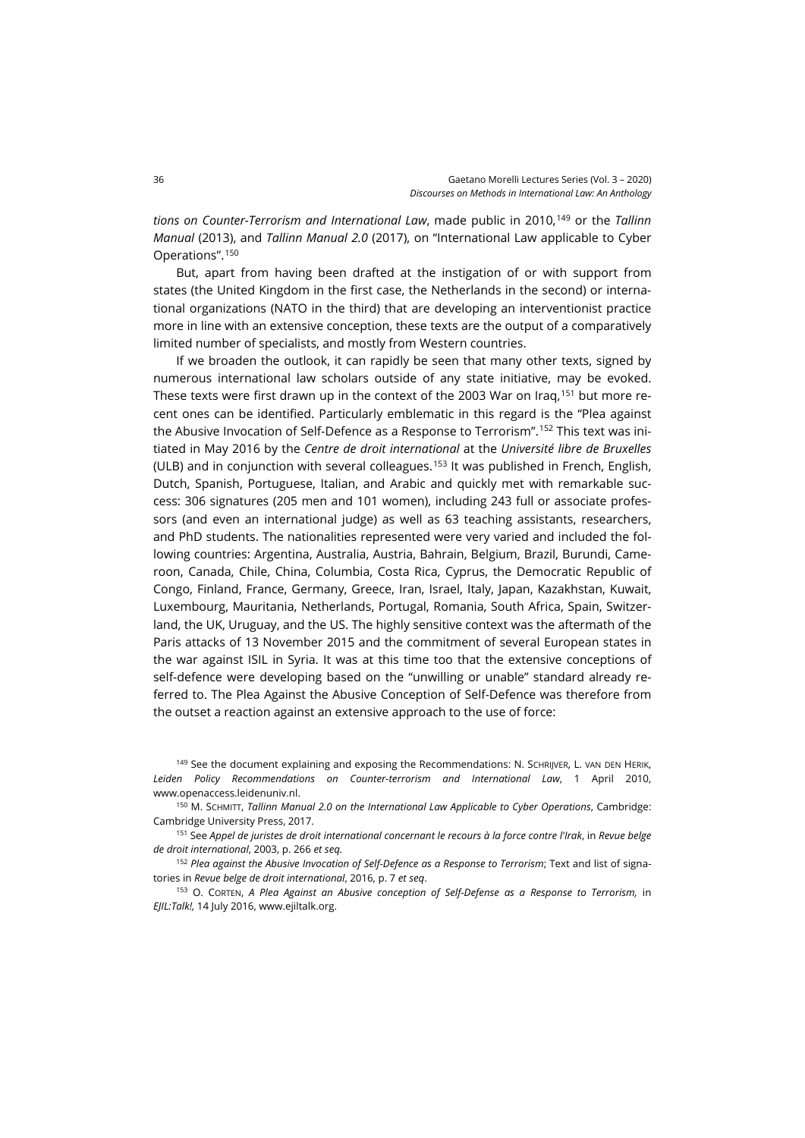*tions on Counter-Terrorism and International Law*, made public in 2010,[149](#page-29-0) or the *Tallinn Manual* (2013), and *Tallinn Manual 2.0* (2017), on "International Law applicable to Cyber Operations".[150](#page-29-1)

But, apart from having been drafted at the instigation of or with support from states (the United Kingdom in the first case, the Netherlands in the second) or international organizations (NATO in the third) that are developing an interventionist practice more in line with an extensive conception, these texts are the output of a comparatively limited number of specialists, and mostly from Western countries.

If we broaden the outlook, it can rapidly be seen that many other texts, signed by numerous international law scholars outside of any state initiative, may be evoked. These texts were first drawn up in the context of the 2003 War on Iraq,<sup>[151](#page-29-2)</sup> but more recent ones can be identified. Particularly emblematic in this regard is the "Plea against the Abusive Invocation of Self-Defence as a Response to Terrorism".[152](#page-29-3) This text was initiated in May 2016 by the *Centre de droit international* at the *Université libre de Bruxelles* (ULB) and in conjunction with several colleagues.[153](#page-29-4) It was published in French, English, Dutch, Spanish, Portuguese, Italian, and Arabic and quickly met with remarkable success: 306 signatures (205 men and 101 women), including 243 full or associate professors (and even an international judge) as well as 63 teaching assistants, researchers, and PhD students. The nationalities represented were very varied and included the following countries: Argentina, Australia, Austria, Bahrain, Belgium, Brazil, Burundi, Cameroon, Canada, Chile, China, Columbia, Costa Rica, Cyprus, the Democratic Republic of Congo, Finland, France, Germany, Greece, Iran, Israel, Italy, Japan, Kazakhstan, Kuwait, Luxembourg, Mauritania, Netherlands, Portugal, Romania, South Africa, Spain, Switzerland, the UK, Uruguay, and the US. The highly sensitive context was the aftermath of the Paris attacks of 13 November 2015 and the commitment of several European states in the war against ISIL in Syria. It was at this time too that the extensive conceptions of self-defence were developing based on the "unwilling or unable" standard already referred to. The Plea Against the Abusive Conception of Self-Defence was therefore from the outset a reaction against an extensive approach to the use of force:

<span id="page-29-0"></span><sup>149</sup> See the document explaining and exposing the Recommendations: N. SCHRIJVER, L. VAN DEN HERIK, *Leiden Policy Recommendations on Counter-terrorism and International Law*, 1 April 2010, [www.openaccess.leidenuniv.nl.](https://openaccess.leidenuniv.nl/bitstream/handle/1887/42298/LeidenPolicyRecommendations1April2010.pdf?sequence=1)

<span id="page-29-1"></span><sup>150</sup> M. SCHMITT, *Tallinn Manual 2.0 on the International Law Applicable to Cyber Operations*, Cambridge: Cambridge University Press, 2017.

<span id="page-29-2"></span><sup>151</sup> See *Appel de juristes de droit international concernant le recours à la force contre l'Irak*, in *Revue belge de droit international*, 2003, p. 266 *et seq.*

<span id="page-29-3"></span><sup>152</sup> *Plea against the Abusive Invocation of Self-Defence as a Response to Terrorism*; Text and list of signatories in *Revue belge de droit international*, 2016, p. 7 *et seq*.

<span id="page-29-4"></span><sup>153</sup> O. CORTEN, *A Plea Against an Abusive conception of Self-Defense as a Response to Terrorism,* in *EJIL:Talk!,* 14 July 2016, [www.ejiltalk.org.](https://www.ejiltalk.org/a-plea-against-the-abusive-invocation-of-self-defence-as-a-response-to-terrorism/)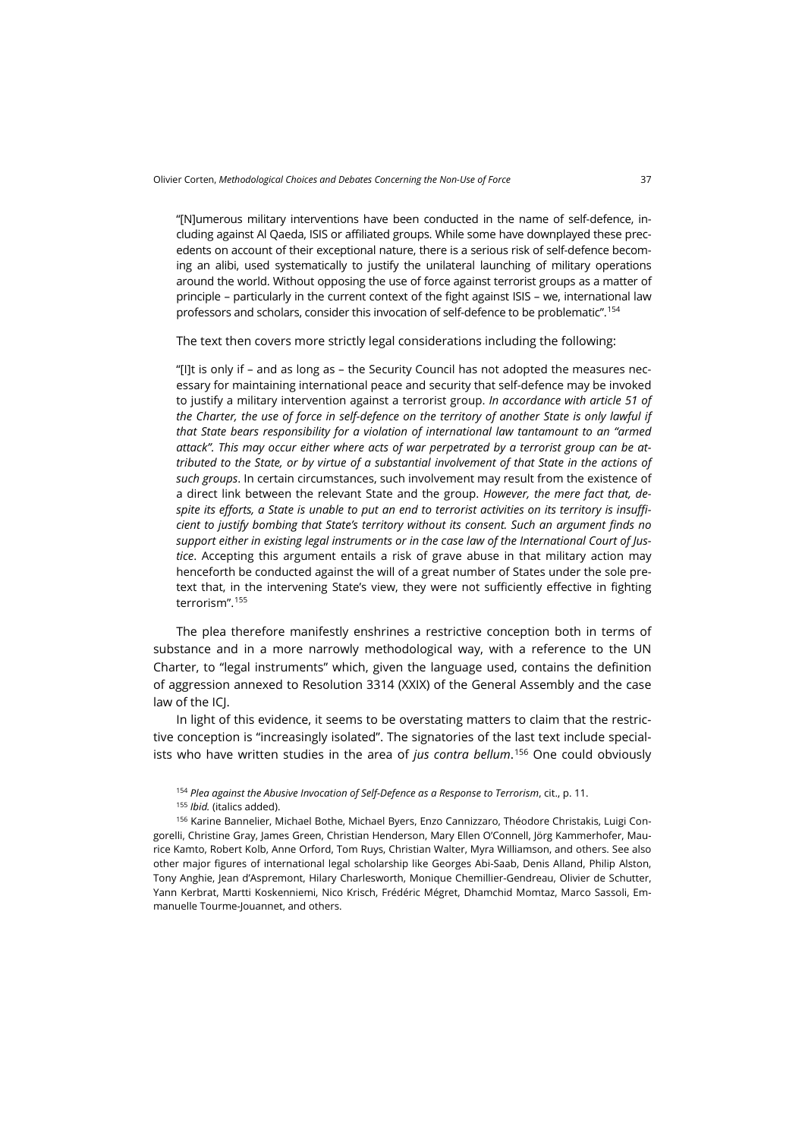"[N]umerous military interventions have been conducted in the name of self-defence, including against Al Qaeda, ISIS or affiliated groups. While some have downplayed these precedents on account of their exceptional nature, there is a serious risk of self-defence becoming an alibi, used systematically to justify the unilateral launching of military operations around the world. Without opposing the use of force against terrorist groups as a matter of principle – particularly in the current context of the fight against ISIS – we, international law professors and scholars, consider this invocation of self-defence to be problematic".[154](#page-30-0)

The text then covers more strictly legal considerations including the following:

"[I]t is only if – and as long as – the Security Council has not adopted the measures necessary for maintaining international peace and security that self-defence may be invoked to justify a military intervention against a terrorist group. *In accordance with article 51 of the Charter, the use of force in self-defence on the territory of another State is only lawful if that State bears responsibility for a violation of international law tantamount to an "armed attack". This may occur either where acts of war perpetrated by a terrorist group can be attributed to the State, or by virtue of a substantial involvement of that State in the actions of such groups*. In certain circumstances, such involvement may result from the existence of a direct link between the relevant State and the group. *However, the mere fact that, despite its efforts, a State is unable to put an end to terrorist activities on its territory is insufficient to justify bombing that State's territory without its consent. Such an argument finds no support either in existing legal instruments or in the case law of the International Court of Justice*. Accepting this argument entails a risk of grave abuse in that military action may henceforth be conducted against the will of a great number of States under the sole pretext that, in the intervening State's view, they were not sufficiently effective in fighting terrorism".[155](#page-30-1)

The plea therefore manifestly enshrines a restrictive conception both in terms of substance and in a more narrowly methodological way, with a reference to the UN Charter, to "legal instruments" which, given the language used, contains the definition of aggression annexed to Resolution 3314 (XXIX) of the General Assembly and the case law of the ICJ.

In light of this evidence, it seems to be overstating matters to claim that the restrictive conception is "increasingly isolated". The signatories of the last text include specialists who have written studies in the area of *jus contra bellum*. [156](#page-30-2) One could obviously

<sup>154</sup> *Plea against the Abusive Invocation of Self-Defence as a Response to Terrorism*, cit., p. 11.

<sup>155</sup> *Ibid.* (italics added).

<span id="page-30-2"></span><span id="page-30-1"></span><span id="page-30-0"></span><sup>156</sup> Karine Bannelier, Michael Bothe, Michael Byers, Enzo Cannizzaro, Théodore Christakis, Luigi Congorelli, Christine Gray, James Green, Christian Henderson, Mary Ellen O'Connell, Jörg Kammerhofer, Maurice Kamto, Robert Kolb, Anne Orford, Tom Ruys, Christian Walter, Myra Williamson, and others. See also other major figures of international legal scholarship like Georges Abi-Saab, Denis Alland, Philip Alston, Tony Anghie, Jean d'Aspremont, Hilary Charlesworth, Monique Chemillier-Gendreau, Olivier de Schutter, Yann Kerbrat, Martti Koskenniemi, Nico Krisch, Frédéric Mégret, Dhamchid Momtaz, Marco Sassoli, Emmanuelle Tourme-Jouannet, and others.